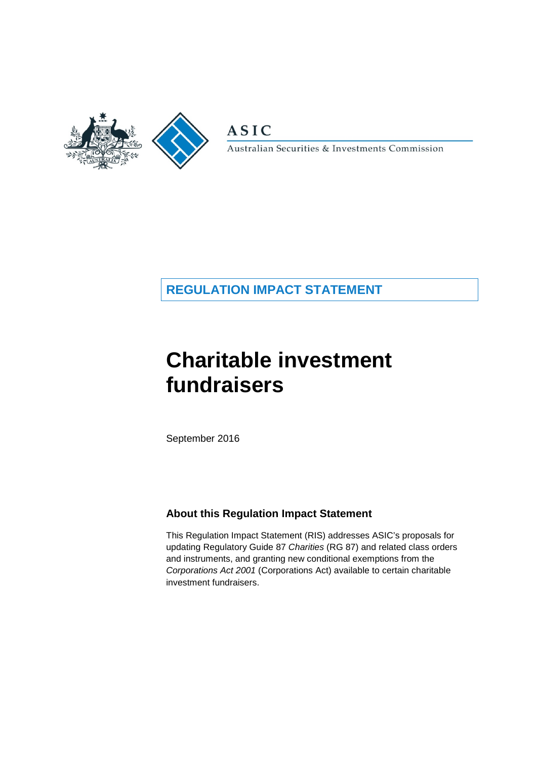

**ASIC** 

Australian Securities & Investments Commission

## **REGULATION IMPACT STATEMENT**

# **Charitable investment fundraisers**

September 2016

### **About this Regulation Impact Statement**

This Regulation Impact Statement (RIS) addresses ASIC's proposals for updating Regulatory Guide 87 *Charities* (RG 87) and related class orders and instruments, and granting new conditional exemptions from the *Corporations Act 2001* (Corporations Act) available to certain charitable investment fundraisers.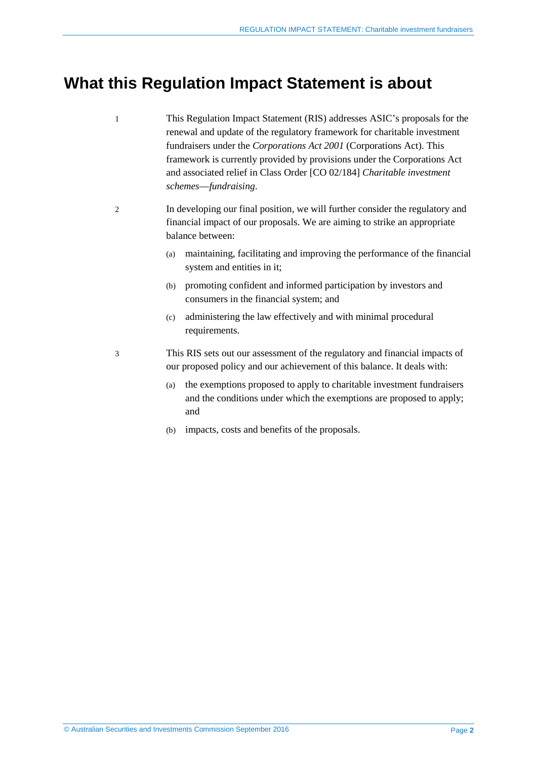## <span id="page-1-0"></span>**What this Regulation Impact Statement is about**

- 1 This Regulation Impact Statement (RIS) addresses ASIC's proposals for the renewal and update of the regulatory framework for charitable investment fundraisers under the *Corporations Act 2001* (Corporations Act). This framework is currently provided by provisions under the Corporations Act and associated relief in Class Order [CO 02/184] *Charitable investment schemes*—*fundraising*.
- 2 In developing our final position, we will further consider the regulatory and financial impact of our proposals. We are aiming to strike an appropriate balance between:
	- (a) maintaining, facilitating and improving the performance of the financial system and entities in it;
	- (b) promoting confident and informed participation by investors and consumers in the financial system; and
	- (c) administering the law effectively and with minimal procedural requirements.
- 3 This RIS sets out our assessment of the regulatory and financial impacts of our proposed policy and our achievement of this balance. It deals with:
	- (a) the exemptions proposed to apply to charitable investment fundraisers and the conditions under which the exemptions are proposed to apply; and
	- (b) impacts, costs and benefits of the proposals.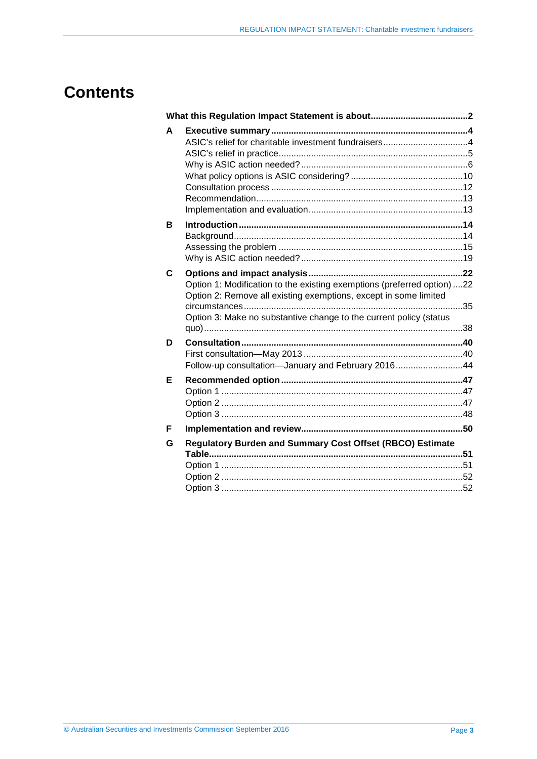## **Contents**

| A |                                                                                                                                                                                                                   |  |
|---|-------------------------------------------------------------------------------------------------------------------------------------------------------------------------------------------------------------------|--|
| в |                                                                                                                                                                                                                   |  |
| C | Option 1: Modification to the existing exemptions (preferred option) 22<br>Option 2: Remove all existing exemptions, except in some limited<br>Option 3: Make no substantive change to the current policy (status |  |
| D | Follow-up consultation-January and February 201644                                                                                                                                                                |  |
| Е |                                                                                                                                                                                                                   |  |
| F |                                                                                                                                                                                                                   |  |
| G | <b>Regulatory Burden and Summary Cost Offset (RBCO) Estimate</b>                                                                                                                                                  |  |
|   |                                                                                                                                                                                                                   |  |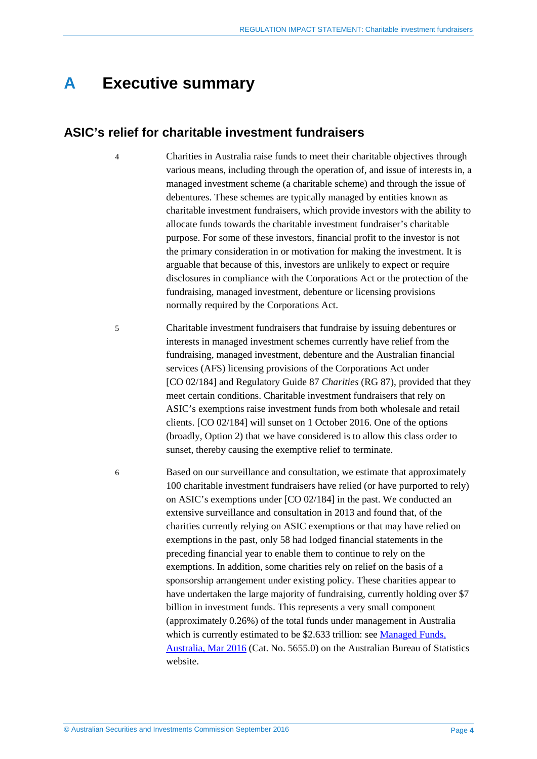## <span id="page-3-0"></span>**A Executive summary**

### <span id="page-3-1"></span>**ASIC's relief for charitable investment fundraisers**

- 4 Charities in Australia raise funds to meet their charitable objectives through various means, including through the operation of, and issue of interests in, a managed investment scheme (a charitable scheme) and through the issue of debentures. These schemes are typically managed by entities known as charitable investment fundraisers, which provide investors with the ability to allocate funds towards the charitable investment fundraiser's charitable purpose. For some of these investors, financial profit to the investor is not the primary consideration in or motivation for making the investment. It is arguable that because of this, investors are unlikely to expect or require disclosures in compliance with the Corporations Act or the protection of the fundraising, managed investment, debenture or licensing provisions normally required by the Corporations Act.
- 5 Charitable investment fundraisers that fundraise by issuing debentures or interests in managed investment schemes currently have relief from the fundraising, managed investment, debenture and the Australian financial services (AFS) licensing provisions of the Corporations Act under [CO 02/184] and Regulatory Guide 87 *Charities* (RG 87), provided that they meet certain conditions. Charitable investment fundraisers that rely on ASIC's exemptions raise investment funds from both wholesale and retail clients. [CO 02/184] will sunset on 1 October 2016. One of the options (broadly, Option 2) that we have considered is to allow this class order to sunset, thereby causing the exemptive relief to terminate.

6 Based on our surveillance and consultation, we estimate that approximately 100 charitable investment fundraisers have relied (or have purported to rely) on ASIC's exemptions under [CO 02/184] in the past. We conducted an extensive surveillance and consultation in 2013 and found that, of the charities currently relying on ASIC exemptions or that may have relied on exemptions in the past, only 58 had lodged financial statements in the preceding financial year to enable them to continue to rely on the exemptions. In addition, some charities rely on relief on the basis of a sponsorship arrangement under existing policy. These charities appear to have undertaken the large majority of fundraising, currently holding over \$7 billion in investment funds. This represents a very small component (approximately 0.26%) of the total funds under management in Australia which is currently estimated to be \$2.633 trillion: see Managed Funds, [Australia, Mar 2016](http://www.abs.gov.au/ausstats/abs@.nsf/mf/5655.0) (Cat. No. 5655.0) on the Australian Bureau of Statistics website.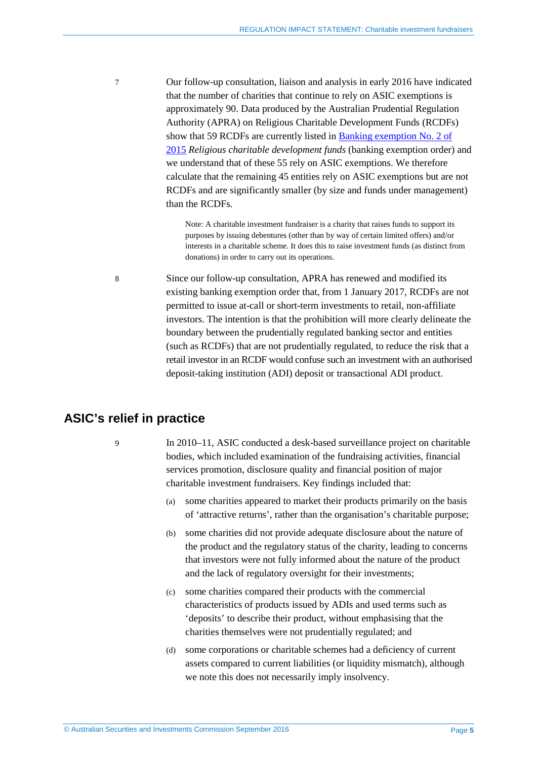7 Our follow-up consultation, liaison and analysis in early 2016 have indicated that the number of charities that continue to rely on ASIC exemptions is approximately 90. Data produced by the Australian Prudential Regulation Authority (APRA) on Religious Charitable Development Funds (RCDFs) show that 59 RCDFs are currently listed in [Banking exemption No. 2 of](https://www.legislation.gov.au/Details/F2015L01823)  [2015](https://www.legislation.gov.au/Details/F2015L01823) *Religious charitable development funds* (banking exemption order) and we understand that of these 55 rely on ASIC exemptions. We therefore calculate that the remaining 45 entities rely on ASIC exemptions but are not RCDFs and are significantly smaller (by size and funds under management) than the RCDFs.

> Note: A charitable investment fundraiser is a charity that raises funds to support its purposes by issuing debentures (other than by way of certain limited offers) and/or interests in a charitable scheme. It does this to raise investment funds (as distinct from donations) in order to carry out its operations.

8 Since our follow-up consultation, APRA has renewed and modified its existing banking exemption order that, from 1 January 2017, RCDFs are not permitted to issue at-call or short-term investments to retail, non-affiliate investors. The intention is that the prohibition will more clearly delineate the boundary between the prudentially regulated banking sector and entities (such as RCDFs) that are not prudentially regulated, to reduce the risk that a retail investor in an RCDF would confuse such an investment with an authorised deposit-taking institution (ADI) deposit or transactional ADI product.

## <span id="page-4-0"></span>**ASIC's relief in practice**

9 In 2010–11, ASIC conducted a desk-based surveillance project on charitable bodies, which included examination of the fundraising activities, financial services promotion, disclosure quality and financial position of major charitable investment fundraisers. Key findings included that:

- (a) some charities appeared to market their products primarily on the basis of 'attractive returns', rather than the organisation's charitable purpose;
- (b) some charities did not provide adequate disclosure about the nature of the product and the regulatory status of the charity, leading to concerns that investors were not fully informed about the nature of the product and the lack of regulatory oversight for their investments;
- (c) some charities compared their products with the commercial characteristics of products issued by ADIs and used terms such as 'deposits' to describe their product, without emphasising that the charities themselves were not prudentially regulated; and
- (d) some corporations or charitable schemes had a deficiency of current assets compared to current liabilities (or liquidity mismatch), although we note this does not necessarily imply insolvency.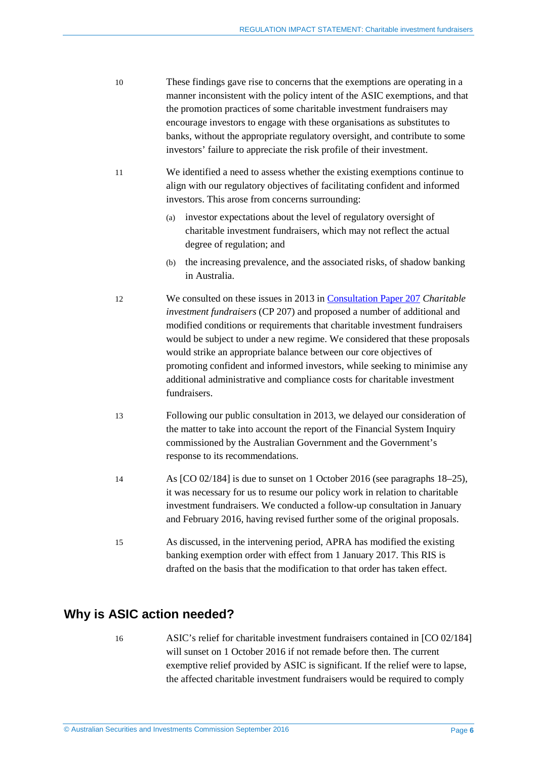- 10 These findings gave rise to concerns that the exemptions are operating in a manner inconsistent with the policy intent of the ASIC exemptions, and that the promotion practices of some charitable investment fundraisers may encourage investors to engage with these organisations as substitutes to banks, without the appropriate regulatory oversight, and contribute to some investors' failure to appreciate the risk profile of their investment.
- 11 We identified a need to assess whether the existing exemptions continue to align with our regulatory objectives of facilitating confident and informed investors. This arose from concerns surrounding:
	- (a) investor expectations about the level of regulatory oversight of charitable investment fundraisers, which may not reflect the actual degree of regulation; and
	- (b) the increasing prevalence, and the associated risks, of shadow banking in Australia.
- 12 We consulted on these issues in 2013 i[n Consultation Paper 207](http://asic.gov.au/regulatory-resources/find-a-document/consultation-papers/cp-207-charitable-investment-fundraisers/) *Charitable investment fundraisers* (CP 207) and proposed a number of additional and modified conditions or requirements that charitable investment fundraisers would be subject to under a new regime. We considered that these proposals would strike an appropriate balance between our core objectives of promoting confident and informed investors, while seeking to minimise any additional administrative and compliance costs for charitable investment fundraisers.
- 13 Following our public consultation in 2013, we delayed our consideration of the matter to take into account the report of the Financial System Inquiry commissioned by the Australian Government and the Government's response to its recommendations.
- 14 As [CO 02/184] is due to sunset on 1 October 2016 (see paragraphs [18–](#page-6-0)[25\)](#page-7-0), it was necessary for us to resume our policy work in relation to charitable investment fundraisers. We conducted a follow-up consultation in January and February 2016, having revised further some of the original proposals.
- 15 As discussed, in the intervening period, APRA has modified the existing banking exemption order with effect from 1 January 2017. This RIS is drafted on the basis that the modification to that order has taken effect.

## <span id="page-5-1"></span><span id="page-5-0"></span>**Why is ASIC action needed?**

16 ASIC's relief for charitable investment fundraisers contained in [CO 02/184] will sunset on 1 October 2016 if not remade before then. The current exemptive relief provided by ASIC is significant. If the relief were to lapse, the affected charitable investment fundraisers would be required to comply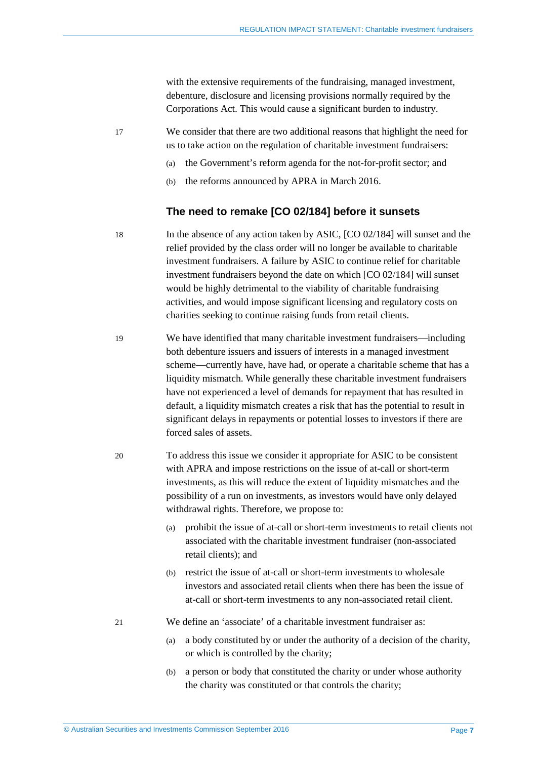with the extensive requirements of the fundraising, managed investment, debenture, disclosure and licensing provisions normally required by the Corporations Act. This would cause a significant burden to industry.

17 We consider that there are two additional reasons that highlight the need for us to take action on the regulation of charitable investment fundraisers:

- (a) the Government's reform agenda for the not-for-profit sector; and
- (b) the reforms announced by APRA in March 2016.

#### **The need to remake [CO 02/184] before it sunsets**

- <span id="page-6-0"></span>18 In the absence of any action taken by ASIC, [CO 02/184] will sunset and the relief provided by the class order will no longer be available to charitable investment fundraisers. A failure by ASIC to continue relief for charitable investment fundraisers beyond the date on which [CO 02/184] will sunset would be highly detrimental to the viability of charitable fundraising activities, and would impose significant licensing and regulatory costs on charities seeking to continue raising funds from retail clients.
- 19 We have identified that many charitable investment fundraisers—including both debenture issuers and issuers of interests in a managed investment scheme—currently have, have had, or operate a charitable scheme that has a liquidity mismatch. While generally these charitable investment fundraisers have not experienced a level of demands for repayment that has resulted in default, a liquidity mismatch creates a risk that has the potential to result in significant delays in repayments or potential losses to investors if there are forced sales of assets.
- 20 To address this issue we consider it appropriate for ASIC to be consistent with APRA and impose restrictions on the issue of at-call or short-term investments, as this will reduce the extent of liquidity mismatches and the possibility of a run on investments, as investors would have only delayed withdrawal rights. Therefore, we propose to:
	- (a) prohibit the issue of at-call or short-term investments to retail clients not associated with the charitable investment fundraiser (non-associated retail clients); and
	- (b) restrict the issue of at-call or short-term investments to wholesale investors and associated retail clients when there has been the issue of at-call or short-term investments to any non-associated retail client.
- <span id="page-6-1"></span>21 We define an 'associate' of a charitable investment fundraiser as:
	- (a) a body constituted by or under the authority of a decision of the charity, or which is controlled by the charity;
	- (b) a person or body that constituted the charity or under whose authority the charity was constituted or that controls the charity;

© Australian Securities and Investments Commission September 2016 Page **7**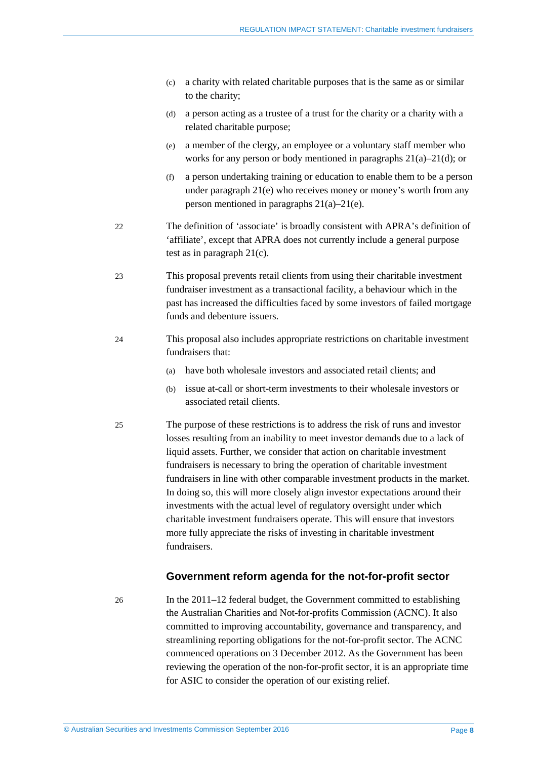- <span id="page-7-3"></span>(c) a charity with related charitable purposes that is the same as or similar to the charity;
- <span id="page-7-1"></span>(d) a person acting as a trustee of a trust for the charity or a charity with a related charitable purpose;
- (e) a member of the clergy, an employee or a voluntary staff member who works for any person or body mentioned in paragraphs [21\(a\)](#page-6-1)[–21\(d\);](#page-7-1) or
- (f) a person undertaking training or education to enable them to be a person under paragraph [21\(e\)](#page-7-2) who receives money or money's worth from any person mentioned in paragraphs [21\(a\)–](#page-6-1)[21\(e\).](#page-7-2)
- <span id="page-7-2"></span>22 The definition of 'associate' is broadly consistent with APRA's definition of 'affiliate', except that APRA does not currently include a general purpose test as in paragraph [21\(c\).](#page-7-3)
- 23 This proposal prevents retail clients from using their charitable investment fundraiser investment as a transactional facility, a behaviour which in the past has increased the difficulties faced by some investors of failed mortgage funds and debenture issuers.
- 24 This proposal also includes appropriate restrictions on charitable investment fundraisers that:
	- (a) have both wholesale investors and associated retail clients; and
	- (b) issue at-call or short-term investments to their wholesale investors or associated retail clients.
- <span id="page-7-0"></span>25 The purpose of these restrictions is to address the risk of runs and investor losses resulting from an inability to meet investor demands due to a lack of liquid assets. Further, we consider that action on charitable investment fundraisers is necessary to bring the operation of charitable investment fundraisers in line with other comparable investment products in the market. In doing so, this will more closely align investor expectations around their investments with the actual level of regulatory oversight under which charitable investment fundraisers operate. This will ensure that investors more fully appreciate the risks of investing in charitable investment fundraisers.

#### **Government reform agenda for the not-for-profit sector**

26 In the 2011–12 federal budget, the Government committed to establishing the Australian Charities and Not-for-profits Commission (ACNC). It also committed to improving accountability, governance and transparency, and streamlining reporting obligations for the not-for-profit sector. The ACNC commenced operations on 3 December 2012. As the Government has been reviewing the operation of the non-for-profit sector, it is an appropriate time for ASIC to consider the operation of our existing relief.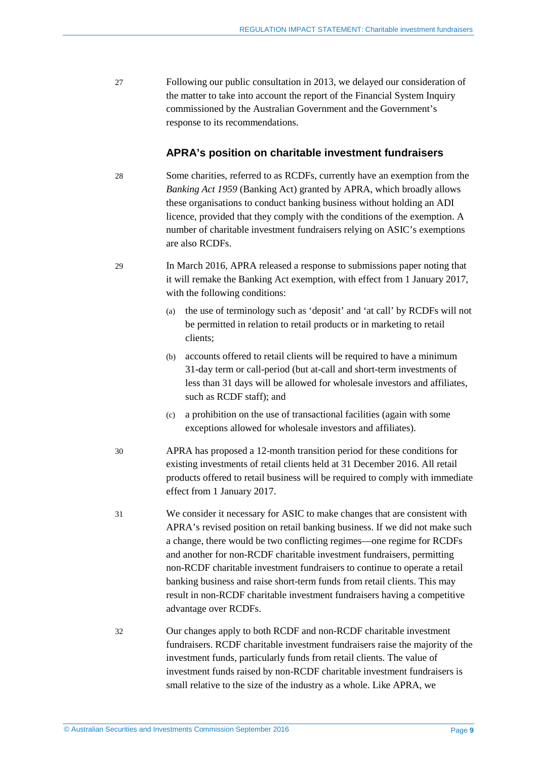27 Following our public consultation in 2013, we delayed our consideration of the matter to take into account the report of the Financial System Inquiry commissioned by the Australian Government and the Government's response to its recommendations.

#### **APRA's position on charitable investment fundraisers**

- <span id="page-8-0"></span>28 Some charities, referred to as RCDFs, currently have an exemption from the *Banking Act 1959* (Banking Act) granted by APRA, which broadly allows these organisations to conduct banking business without holding an ADI licence, provided that they comply with the conditions of the exemption. A number of charitable investment fundraisers relying on ASIC's exemptions are also RCDFs.
- 29 In March 2016, APRA released a response to submissions paper noting that it will remake the Banking Act exemption, with effect from 1 January 2017, with the following conditions:
	- (a) the use of terminology such as 'deposit' and 'at call' by RCDFs will not be permitted in relation to retail products or in marketing to retail clients;
	- (b) accounts offered to retail clients will be required to have a minimum 31-day term or call-period (but at-call and short-term investments of less than 31 days will be allowed for wholesale investors and affiliates, such as RCDF staff); and
	- (c) a prohibition on the use of transactional facilities (again with some exceptions allowed for wholesale investors and affiliates).
- <span id="page-8-1"></span>30 APRA has proposed a 12-month transition period for these conditions for existing investments of retail clients held at 31 December 2016. All retail products offered to retail business will be required to comply with immediate effect from 1 January 2017.
- 31 We consider it necessary for ASIC to make changes that are consistent with APRA's revised position on retail banking business. If we did not make such a change, there would be two conflicting regimes—one regime for RCDFs and another for non-RCDF charitable investment fundraisers, permitting non-RCDF charitable investment fundraisers to continue to operate a retail banking business and raise short-term funds from retail clients. This may result in non-RCDF charitable investment fundraisers having a competitive advantage over RCDFs.
- 32 Our changes apply to both RCDF and non-RCDF charitable investment fundraisers. RCDF charitable investment fundraisers raise the majority of the investment funds, particularly funds from retail clients. The value of investment funds raised by non-RCDF charitable investment fundraisers is small relative to the size of the industry as a whole. Like APRA, we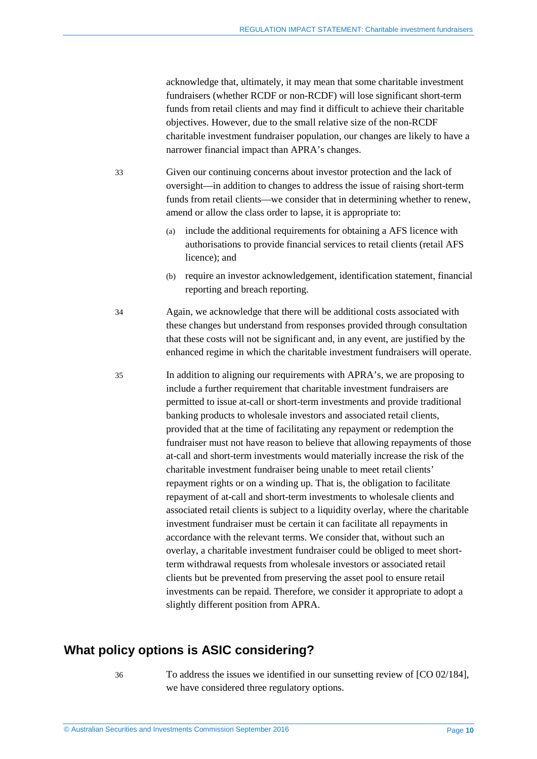acknowledge that, ultimately, it may mean that some charitable investment fundraisers (whether RCDF or non-RCDF) will lose significant short-term funds from retail clients and may find it difficult to achieve their charitable objectives. However, due to the small relative size of the non-RCDF charitable investment fundraiser population, our changes are likely to have a narrower financial impact than APRA's changes.

33 Given our continuing concerns about investor protection and the lack of oversight—in addition to changes to address the issue of raising short-term funds from retail clients—we consider that in determining whether to renew, amend or allow the class order to lapse, it is appropriate to:

- (a) include the additional requirements for obtaining a AFS licence with authorisations to provide financial services to retail clients (retail AFS licence); and
- (b) require an investor acknowledgement, identification statement, financial reporting and breach reporting.

34 Again, we acknowledge that there will be additional costs associated with these changes but understand from responses provided through consultation that these costs will not be significant and, in any event, are justified by the enhanced regime in which the charitable investment fundraisers will operate.

<span id="page-9-1"></span>35 In addition to aligning our requirements with APRA's, we are proposing to include a further requirement that charitable investment fundraisers are permitted to issue at-call or short-term investments and provide traditional banking products to wholesale investors and associated retail clients, provided that at the time of facilitating any repayment or redemption the fundraiser must not have reason to believe that allowing repayments of those at-call and short-term investments would materially increase the risk of the charitable investment fundraiser being unable to meet retail clients' repayment rights or on a winding up. That is, the obligation to facilitate repayment of at-call and short-term investments to wholesale clients and associated retail clients is subject to a liquidity overlay, where the charitable investment fundraiser must be certain it can facilitate all repayments in accordance with the relevant terms. We consider that, without such an overlay, a charitable investment fundraiser could be obliged to meet shortterm withdrawal requests from wholesale investors or associated retail clients but be prevented from preserving the asset pool to ensure retail investments can be repaid. Therefore, we consider it appropriate to adopt a slightly different position from APRA.

### <span id="page-9-0"></span>**What policy options is ASIC considering?**

36 To address the issues we identified in our sunsetting review of [CO 02/184], we have considered three regulatory options.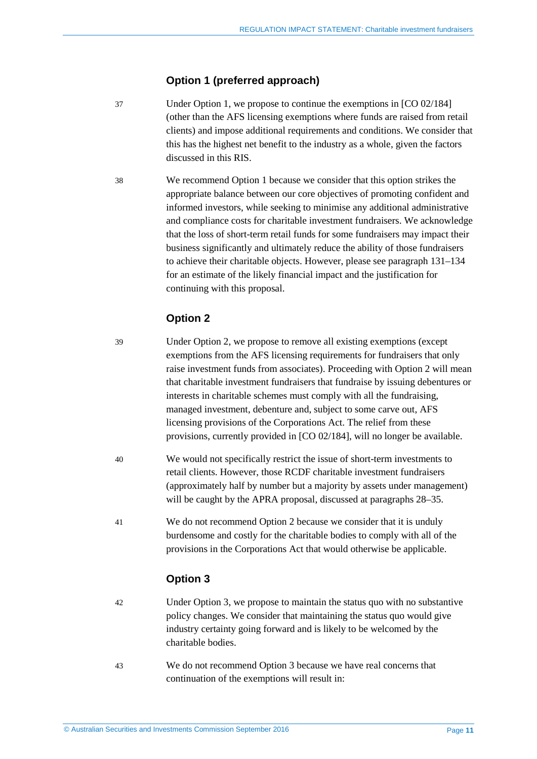#### **Option 1 (preferred approach)**

- 37 Under Option 1, we propose to continue the exemptions in [CO 02/184] (other than the AFS licensing exemptions where funds are raised from retail clients) and impose additional requirements and conditions. We consider that this has the highest net benefit to the industry as a whole, given the factors discussed in this RIS.
- 38 We recommend Option 1 because we consider that this option strikes the appropriate balance between our core objectives of promoting confident and informed investors, while seeking to minimise any additional administrative and compliance costs for charitable investment fundraisers. We acknowledge that the loss of short-term retail funds for some fundraisers may impact their business significantly and ultimately reduce the ability of those fundraisers to achieve their charitable objects. However, please see paragraph [131](#page-29-0)[–134](#page-29-1) for an estimate of the likely financial impact and the justification for continuing with this proposal.

#### **Option 2**

- 39 Under Option 2, we propose to remove all existing exemptions (except exemptions from the AFS licensing requirements for fundraisers that only raise investment funds from associates). Proceeding with Option 2 will mean that charitable investment fundraisers that fundraise by issuing debentures or interests in charitable schemes must comply with all the fundraising, managed investment, debenture and, subject to some carve out, AFS licensing provisions of the Corporations Act. The relief from these provisions, currently provided in [CO 02/184], will no longer be available.
- 40 We would not specifically restrict the issue of short-term investments to retail clients. However, those RCDF charitable investment fundraisers (approximately half by number but a majority by assets under management) will be caught by the APRA proposal, discussed at paragraphs  $28-35$ .
- 41 We do not recommend Option 2 because we consider that it is unduly burdensome and costly for the charitable bodies to comply with all of the provisions in the Corporations Act that would otherwise be applicable.

#### **Option 3**

- 42 Under Option 3, we propose to maintain the status quo with no substantive policy changes. We consider that maintaining the status quo would give industry certainty going forward and is likely to be welcomed by the charitable bodies.
- 43 We do not recommend Option 3 because we have real concerns that continuation of the exemptions will result in: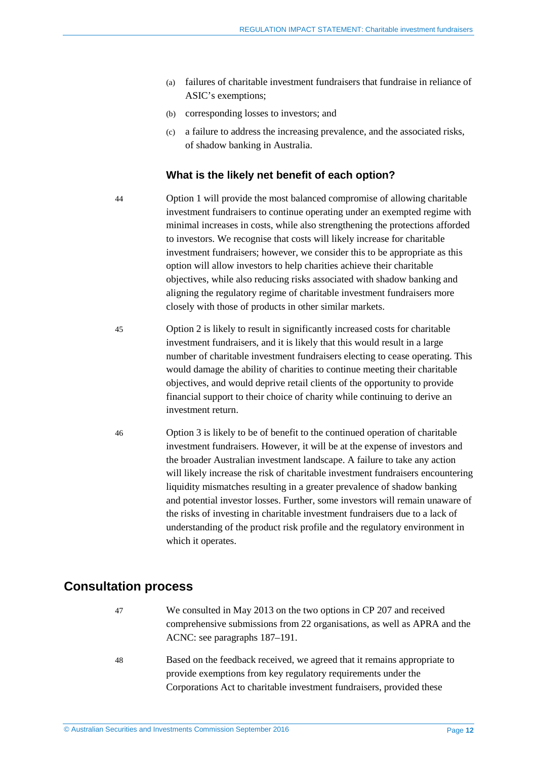- (a) failures of charitable investment fundraisers that fundraise in reliance of ASIC's exemptions;
- (b) corresponding losses to investors; and
- (c) a failure to address the increasing prevalence, and the associated risks, of shadow banking in Australia.

#### **What is the likely net benefit of each option?**

44 Option 1 will provide the most balanced compromise of allowing charitable investment fundraisers to continue operating under an exempted regime with minimal increases in costs, while also strengthening the protections afforded to investors. We recognise that costs will likely increase for charitable investment fundraisers; however, we consider this to be appropriate as this option will allow investors to help charities achieve their charitable objectives, while also reducing risks associated with shadow banking and aligning the regulatory regime of charitable investment fundraisers more closely with those of products in other similar markets.

- 45 Option 2 is likely to result in significantly increased costs for charitable investment fundraisers, and it is likely that this would result in a large number of charitable investment fundraisers electing to cease operating. This would damage the ability of charities to continue meeting their charitable objectives, and would deprive retail clients of the opportunity to provide financial support to their choice of charity while continuing to derive an investment return.
- 46 Option 3 is likely to be of benefit to the continued operation of charitable investment fundraisers. However, it will be at the expense of investors and the broader Australian investment landscape. A failure to take any action will likely increase the risk of charitable investment fundraisers encountering liquidity mismatches resulting in a greater prevalence of shadow banking and potential investor losses. Further, some investors will remain unaware of the risks of investing in charitable investment fundraisers due to a lack of understanding of the product risk profile and the regulatory environment in which it operates.

### <span id="page-11-0"></span>**Consultation process**

- 47 We consulted in May 2013 on the two options in CP 207 and received comprehensive submissions from 22 organisations, as well as APRA and the ACNC: see paragraphs [187](#page-39-2)[–191.](#page-39-3)
- 48 Based on the feedback received, we agreed that it remains appropriate to provide exemptions from key regulatory requirements under the Corporations Act to charitable investment fundraisers, provided these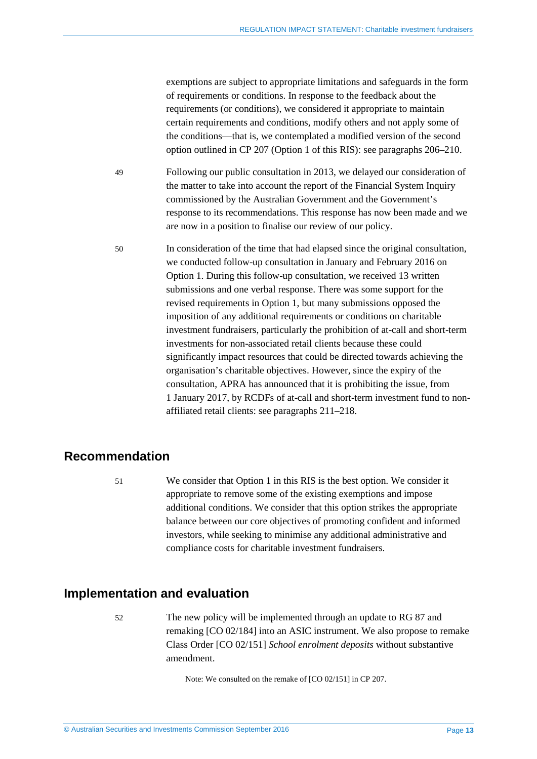exemptions are subject to appropriate limitations and safeguards in the form of requirements or conditions. In response to the feedback about the requirements (or conditions), we considered it appropriate to maintain certain requirements and conditions, modify others and not apply some of the conditions—that is, we contemplated a modified version of the second option outlined in CP 207 (Option 1 of this RIS): see paragraphs [206–](#page-42-0)[210.](#page-42-1)

49 Following our public consultation in 2013, we delayed our consideration of the matter to take into account the report of the Financial System Inquiry commissioned by the Australian Government and the Government's response to its recommendations. This response has now been made and we are now in a position to finalise our review of our policy.

50 In consideration of the time that had elapsed since the original consultation, we conducted follow-up consultation in January and February 2016 on Option 1. During this follow-up consultation, we received 13 written submissions and one verbal response. There was some support for the revised requirements in Option 1, but many submissions opposed the imposition of any additional requirements or conditions on charitable investment fundraisers, particularly the prohibition of at-call and short-term investments for non-associated retail clients because these could significantly impact resources that could be directed towards achieving the organisation's charitable objectives. However, since the expiry of the consultation, APRA has announced that it is prohibiting the issue, from 1 January 2017, by RCDFs of at-call and short-term investment fund to nonaffiliated retail clients: see paragraphs [211](#page-43-1)[–218.](#page-44-0)

### <span id="page-12-0"></span>**Recommendation**

51 We consider that Option 1 in this RIS is the best option. We consider it appropriate to remove some of the existing exemptions and impose additional conditions. We consider that this option strikes the appropriate balance between our core objectives of promoting confident and informed investors, while seeking to minimise any additional administrative and compliance costs for charitable investment fundraisers.

### <span id="page-12-1"></span>**Implementation and evaluation**

52 The new policy will be implemented through an update to RG 87 and remaking [CO 02/184] into an ASIC instrument. We also propose to remake Class Order [CO 02/151] *School enrolment deposits* without substantive amendment.

Note: We consulted on the remake of [CO 02/151] in CP 207.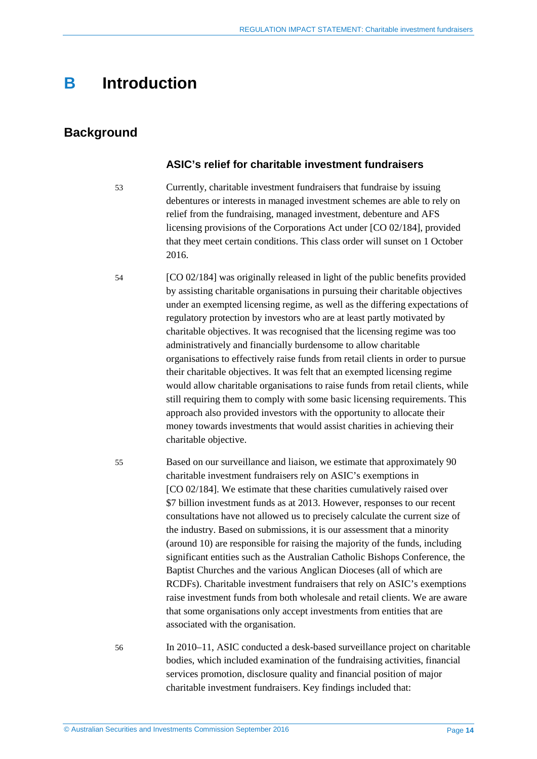## <span id="page-13-0"></span>**B Introduction**

### <span id="page-13-1"></span>**Background**

#### **ASIC's relief for charitable investment fundraisers**

- 53 Currently, charitable investment fundraisers that fundraise by issuing debentures or interests in managed investment schemes are able to rely on relief from the fundraising, managed investment, debenture and AFS licensing provisions of the Corporations Act under [CO 02/184], provided that they meet certain conditions. This class order will sunset on 1 October 2016.
- 54 [CO 02/184] was originally released in light of the public benefits provided by assisting charitable organisations in pursuing their charitable objectives under an exempted licensing regime, as well as the differing expectations of regulatory protection by investors who are at least partly motivated by charitable objectives. It was recognised that the licensing regime was too administratively and financially burdensome to allow charitable organisations to effectively raise funds from retail clients in order to pursue their charitable objectives. It was felt that an exempted licensing regime would allow charitable organisations to raise funds from retail clients, while still requiring them to comply with some basic licensing requirements. This approach also provided investors with the opportunity to allocate their money towards investments that would assist charities in achieving their charitable objective.
- 55 Based on our surveillance and liaison, we estimate that approximately 90 charitable investment fundraisers rely on ASIC's exemptions in [CO 02/184]. We estimate that these charities cumulatively raised over \$7 billion investment funds as at 2013. However, responses to our recent consultations have not allowed us to precisely calculate the current size of the industry. Based on submissions, it is our assessment that a minority (around 10) are responsible for raising the majority of the funds, including significant entities such as the Australian Catholic Bishops Conference, the Baptist Churches and the various Anglican Dioceses (all of which are RCDFs). Charitable investment fundraisers that rely on ASIC's exemptions raise investment funds from both wholesale and retail clients. We are aware that some organisations only accept investments from entities that are associated with the organisation.
- 56 In 2010–11, ASIC conducted a desk-based surveillance project on charitable bodies, which included examination of the fundraising activities, financial services promotion, disclosure quality and financial position of major charitable investment fundraisers. Key findings included that: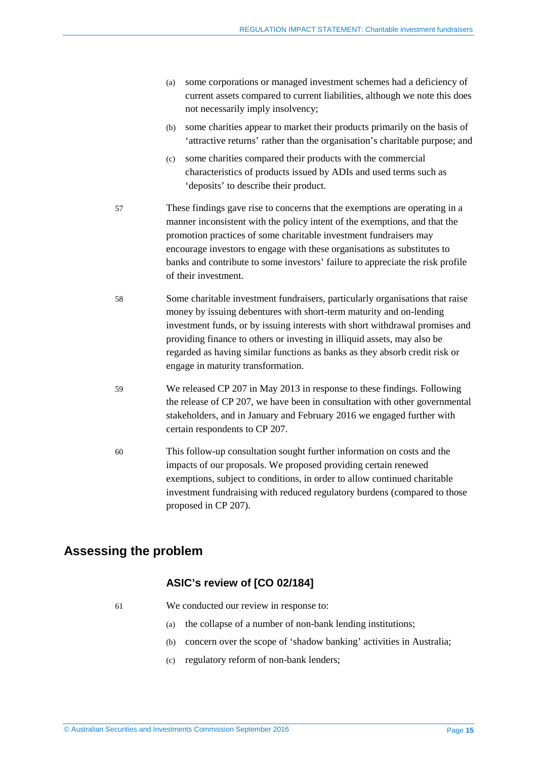- (a) some corporations or managed investment schemes had a deficiency of current assets compared to current liabilities, although we note this does not necessarily imply insolvency;
- (b) some charities appear to market their products primarily on the basis of 'attractive returns' rather than the organisation's charitable purpose; and
- (c) some charities compared their products with the commercial characteristics of products issued by ADIs and used terms such as 'deposits' to describe their product.
- 57 These findings gave rise to concerns that the exemptions are operating in a manner inconsistent with the policy intent of the exemptions, and that the promotion practices of some charitable investment fundraisers may encourage investors to engage with these organisations as substitutes to banks and contribute to some investors' failure to appreciate the risk profile of their investment.
- 58 Some charitable investment fundraisers, particularly organisations that raise money by issuing debentures with short-term maturity and on-lending investment funds, or by issuing interests with short withdrawal promises and providing finance to others or investing in illiquid assets, may also be regarded as having similar functions as banks as they absorb credit risk or engage in maturity transformation.
- 59 We released CP 207 in May 2013 in response to these findings. Following the release of CP 207, we have been in consultation with other governmental stakeholders, and in January and February 2016 we engaged further with certain respondents to CP 207.
- 60 This follow-up consultation sought further information on costs and the impacts of our proposals. We proposed providing certain renewed exemptions, subject to conditions, in order to allow continued charitable investment fundraising with reduced regulatory burdens (compared to those proposed in CP 207).

## <span id="page-14-0"></span>**Assessing the problem**

### **ASIC's review of [CO 02/184]**

61 We conducted our review in response to:

- (a) the collapse of a number of non-bank lending institutions;
- (b) concern over the scope of 'shadow banking' activities in Australia;
- (c) regulatory reform of non-bank lenders;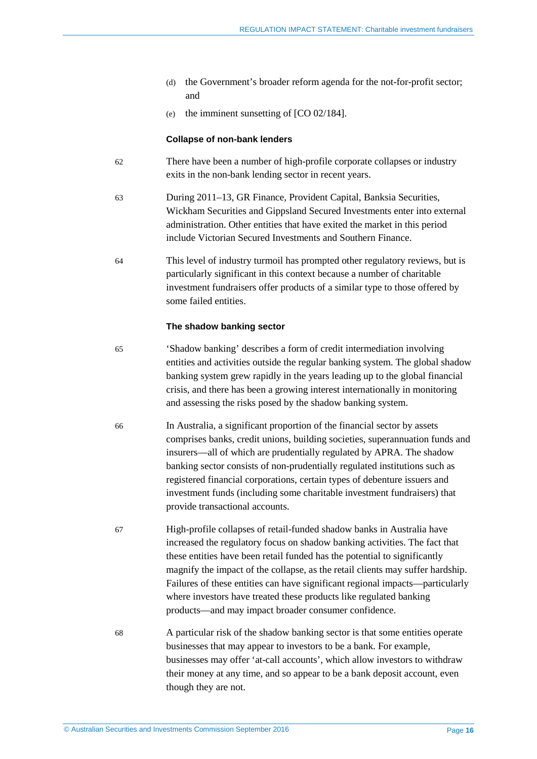- (d) the Government's broader reform agenda for the not-for-profit sector; and
- (e) the imminent sunsetting of [CO 02/184].

#### **Collapse of non-bank lenders**

- 62 There have been a number of high-profile corporate collapses or industry exits in the non-bank lending sector in recent years.
- 63 During 2011–13, GR Finance, Provident Capital, Banksia Securities, Wickham Securities and Gippsland Secured Investments enter into external administration. Other entities that have exited the market in this period include Victorian Secured Investments and Southern Finance.
- 64 This level of industry turmoil has prompted other regulatory reviews, but is particularly significant in this context because a number of charitable investment fundraisers offer products of a similar type to those offered by some failed entities.

#### **The shadow banking sector**

- 65 'Shadow banking' describes a form of credit intermediation involving entities and activities outside the regular banking system. The global shadow banking system grew rapidly in the years leading up to the global financial crisis, and there has been a growing interest internationally in monitoring and assessing the risks posed by the shadow banking system.
- 66 In Australia, a significant proportion of the financial sector by assets comprises banks, credit unions, building societies, superannuation funds and insurers—all of which are prudentially regulated by APRA. The shadow banking sector consists of non-prudentially regulated institutions such as registered financial corporations, certain types of debenture issuers and investment funds (including some charitable investment fundraisers) that provide transactional accounts.
- 67 High-profile collapses of retail-funded shadow banks in Australia have increased the regulatory focus on shadow banking activities. The fact that these entities have been retail funded has the potential to significantly magnify the impact of the collapse, as the retail clients may suffer hardship. Failures of these entities can have significant regional impacts—particularly where investors have treated these products like regulated banking products—and may impact broader consumer confidence.
- 68 A particular risk of the shadow banking sector is that some entities operate businesses that may appear to investors to be a bank. For example, businesses may offer 'at-call accounts', which allow investors to withdraw their money at any time, and so appear to be a bank deposit account, even though they are not.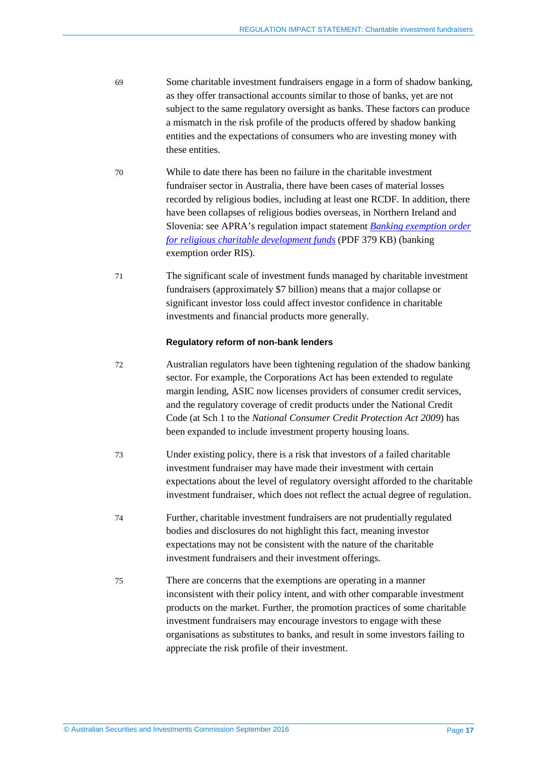- 69 Some charitable investment fundraisers engage in a form of shadow banking, as they offer transactional accounts similar to those of banks, yet are not subject to the same regulatory oversight as banks. These factors can produce a mismatch in the risk profile of the products offered by shadow banking entities and the expectations of consumers who are investing money with these entities.
- 70 While to date there has been no failure in the charitable investment fundraiser sector in Australia, there have been cases of material losses recorded by religious bodies, including at least one RCDF. In addition, there have been collapses of religious bodies overseas, in Northern Ireland and Slovenia: see APRA's regulation impact statement *[Banking exemption order](http://www.apra.gov.au/Policy/Documents/160309-RIS-RCDFs-FINAL.pdf)  [for religious charitable development funds](http://www.apra.gov.au/Policy/Documents/160309-RIS-RCDFs-FINAL.pdf)* (PDF 379 KB) (banking exemption order RIS).
- 71 The significant scale of investment funds managed by charitable investment fundraisers (approximately \$7 billion) means that a major collapse or significant investor loss could affect investor confidence in charitable investments and financial products more generally.

#### **Regulatory reform of non-bank lenders**

- 72 Australian regulators have been tightening regulation of the shadow banking sector. For example, the Corporations Act has been extended to regulate margin lending, ASIC now licenses providers of consumer credit services, and the regulatory coverage of credit products under the National Credit Code (at Sch 1 to the *National Consumer Credit Protection Act 2009*) has been expanded to include investment property housing loans.
- 73 Under existing policy, there is a risk that investors of a failed charitable investment fundraiser may have made their investment with certain expectations about the level of regulatory oversight afforded to the charitable investment fundraiser, which does not reflect the actual degree of regulation.
- 74 Further, charitable investment fundraisers are not prudentially regulated bodies and disclosures do not highlight this fact, meaning investor expectations may not be consistent with the nature of the charitable investment fundraisers and their investment offerings.
- 75 There are concerns that the exemptions are operating in a manner inconsistent with their policy intent, and with other comparable investment products on the market. Further, the promotion practices of some charitable investment fundraisers may encourage investors to engage with these organisations as substitutes to banks, and result in some investors failing to appreciate the risk profile of their investment.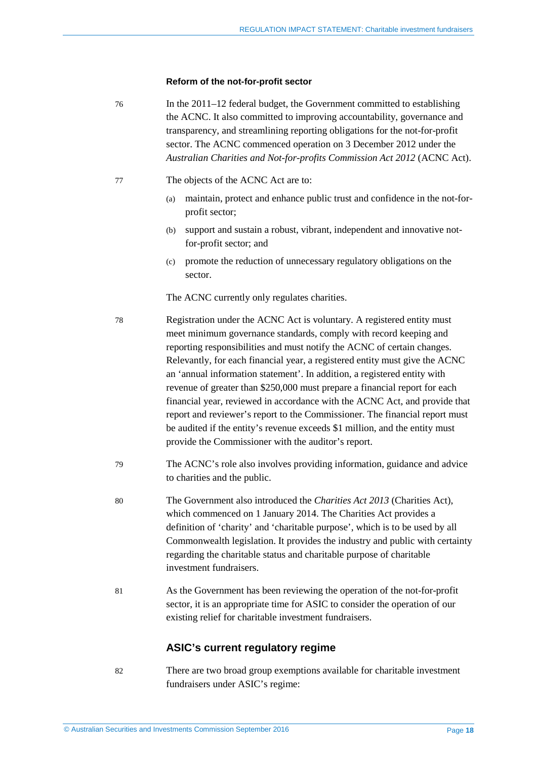#### **Reform of the not-for-profit sector**

76 In the 2011–12 federal budget, the Government committed to establishing the ACNC. It also committed to improving accountability, governance and transparency, and streamlining reporting obligations for the not-for-profit sector. The ACNC commenced operation on 3 December 2012 under the *Australian Charities and Not-for-profits Commission Act 2012* (ACNC Act).

- 77 The objects of the ACNC Act are to:
	- (a) maintain, protect and enhance public trust and confidence in the not-forprofit sector;
	- (b) support and sustain a robust, vibrant, independent and innovative notfor-profit sector; and
	- (c) promote the reduction of unnecessary regulatory obligations on the sector.

The ACNC currently only regulates charities.

- 78 Registration under the ACNC Act is voluntary. A registered entity must meet minimum governance standards, comply with record keeping and reporting responsibilities and must notify the ACNC of certain changes. Relevantly, for each financial year, a registered entity must give the ACNC an 'annual information statement'. In addition, a registered entity with revenue of greater than \$250,000 must prepare a financial report for each financial year, reviewed in accordance with the ACNC Act, and provide that report and reviewer's report to the Commissioner. The financial report must be audited if the entity's revenue exceeds \$1 million, and the entity must provide the Commissioner with the auditor's report.
- 79 The ACNC's role also involves providing information, guidance and advice to charities and the public.
- 80 The Government also introduced the *Charities Act 2013* (Charities Act), which commenced on 1 January 2014. The Charities Act provides a definition of 'charity' and 'charitable purpose', which is to be used by all Commonwealth legislation. It provides the industry and public with certainty regarding the charitable status and charitable purpose of charitable investment fundraisers.
- 81 As the Government has been reviewing the operation of the not-for-profit sector, it is an appropriate time for ASIC to consider the operation of our existing relief for charitable investment fundraisers.

#### **ASIC's current regulatory regime**

82 There are two broad group exemptions available for charitable investment fundraisers under ASIC's regime: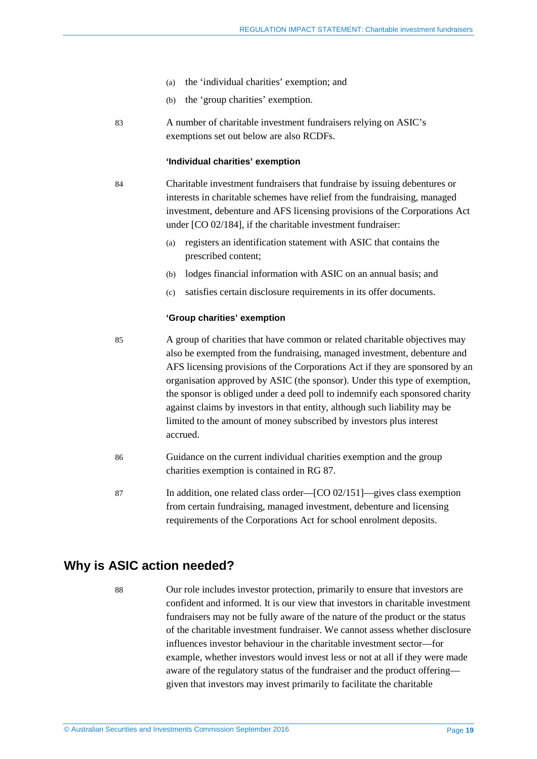- (a) the 'individual charities' exemption; and
- (b) the 'group charities' exemption.
- 83 A number of charitable investment fundraisers relying on ASIC's exemptions set out below are also RCDFs.

#### **'Individual charities' exemption**

- 84 Charitable investment fundraisers that fundraise by issuing debentures or interests in charitable schemes have relief from the fundraising, managed investment, debenture and AFS licensing provisions of the Corporations Act under [CO 02/184], if the charitable investment fundraiser:
	- (a) registers an identification statement with ASIC that contains the prescribed content;
	- (b) lodges financial information with ASIC on an annual basis; and
	- (c) satisfies certain disclosure requirements in its offer documents.

#### **'Group charities' exemption**

- 85 A group of charities that have common or related charitable objectives may also be exempted from the fundraising, managed investment, debenture and AFS licensing provisions of the Corporations Act if they are sponsored by an organisation approved by ASIC (the sponsor). Under this type of exemption, the sponsor is obliged under a deed poll to indemnify each sponsored charity against claims by investors in that entity, although such liability may be limited to the amount of money subscribed by investors plus interest accrued.
- 86 Guidance on the current individual charities exemption and the group charities exemption is contained in RG 87.
- 87 In addition, one related class order—[CO 02/151]—gives class exemption from certain fundraising, managed investment, debenture and licensing requirements of the Corporations Act for school enrolment deposits.

### <span id="page-18-0"></span>**Why is ASIC action needed?**

88 Our role includes investor protection, primarily to ensure that investors are confident and informed. It is our view that investors in charitable investment fundraisers may not be fully aware of the nature of the product or the status of the charitable investment fundraiser. We cannot assess whether disclosure influences investor behaviour in the charitable investment sector—for example, whether investors would invest less or not at all if they were made aware of the regulatory status of the fundraiser and the product offering given that investors may invest primarily to facilitate the charitable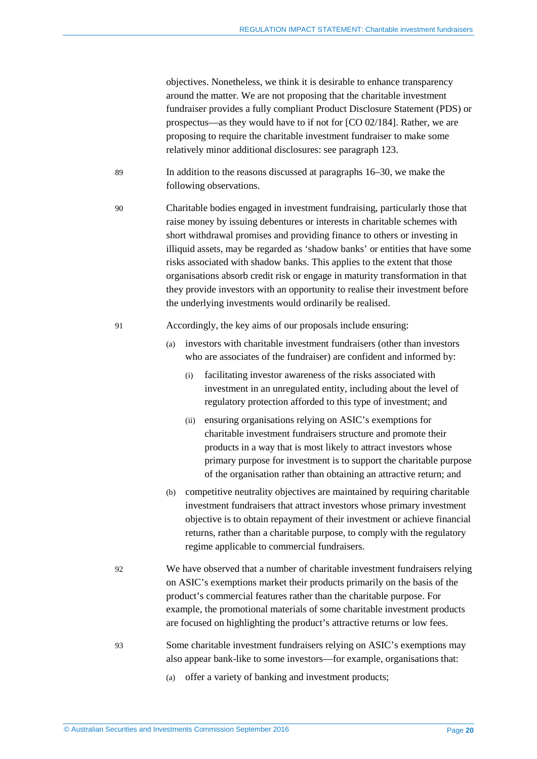objectives. Nonetheless, we think it is desirable to enhance transparency around the matter. We are not proposing that the charitable investment fundraiser provides a fully compliant Product Disclosure Statement (PDS) or prospectus—as they would have to if not for [CO 02/184]. Rather, we are proposing to require the charitable investment fundraiser to make some relatively minor additional disclosures: see paragraph [123.](#page-27-0)

- 89 In addition to the reasons discussed at paragraphs [16](#page-5-1)[–30,](#page-8-1) we make the following observations.
- 90 Charitable bodies engaged in investment fundraising, particularly those that raise money by issuing debentures or interests in charitable schemes with short withdrawal promises and providing finance to others or investing in illiquid assets, may be regarded as 'shadow banks' or entities that have some risks associated with shadow banks. This applies to the extent that those organisations absorb credit risk or engage in maturity transformation in that they provide investors with an opportunity to realise their investment before the underlying investments would ordinarily be realised.
- 91 Accordingly, the key aims of our proposals include ensuring:
	- (a) investors with charitable investment fundraisers (other than investors who are associates of the fundraiser) are confident and informed by:
		- (i) facilitating investor awareness of the risks associated with investment in an unregulated entity, including about the level of regulatory protection afforded to this type of investment; and
		- (ii) ensuring organisations relying on ASIC's exemptions for charitable investment fundraisers structure and promote their products in a way that is most likely to attract investors whose primary purpose for investment is to support the charitable purpose of the organisation rather than obtaining an attractive return; and
	- (b) competitive neutrality objectives are maintained by requiring charitable investment fundraisers that attract investors whose primary investment objective is to obtain repayment of their investment or achieve financial returns, rather than a charitable purpose, to comply with the regulatory regime applicable to commercial fundraisers.
- 92 We have observed that a number of charitable investment fundraisers relying on ASIC's exemptions market their products primarily on the basis of the product's commercial features rather than the charitable purpose. For example, the promotional materials of some charitable investment products are focused on highlighting the product's attractive returns or low fees.
- 93 Some charitable investment fundraisers relying on ASIC's exemptions may also appear bank-like to some investors—for example, organisations that:
	- (a) offer a variety of banking and investment products;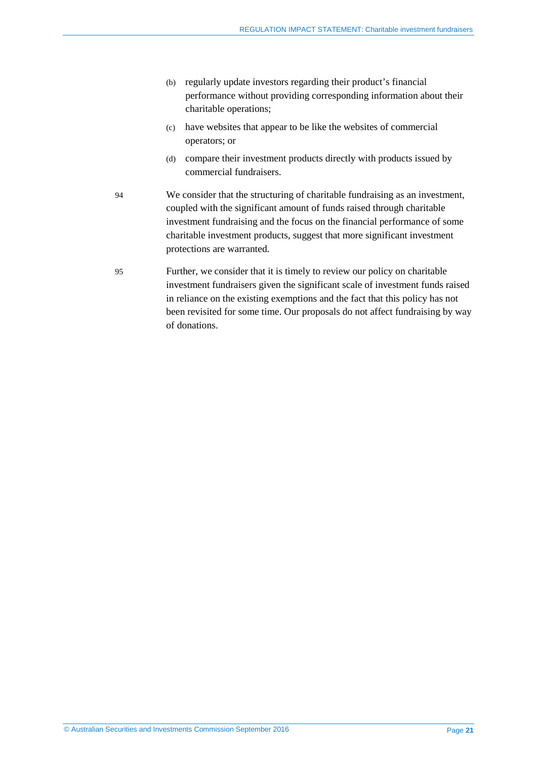- (b) regularly update investors regarding their product's financial performance without providing corresponding information about their charitable operations;
- (c) have websites that appear to be like the websites of commercial operators; or
- (d) compare their investment products directly with products issued by commercial fundraisers.
- 94 We consider that the structuring of charitable fundraising as an investment, coupled with the significant amount of funds raised through charitable investment fundraising and the focus on the financial performance of some charitable investment products, suggest that more significant investment protections are warranted.
- 95 Further, we consider that it is timely to review our policy on charitable investment fundraisers given the significant scale of investment funds raised in reliance on the existing exemptions and the fact that this policy has not been revisited for some time. Our proposals do not affect fundraising by way of donations.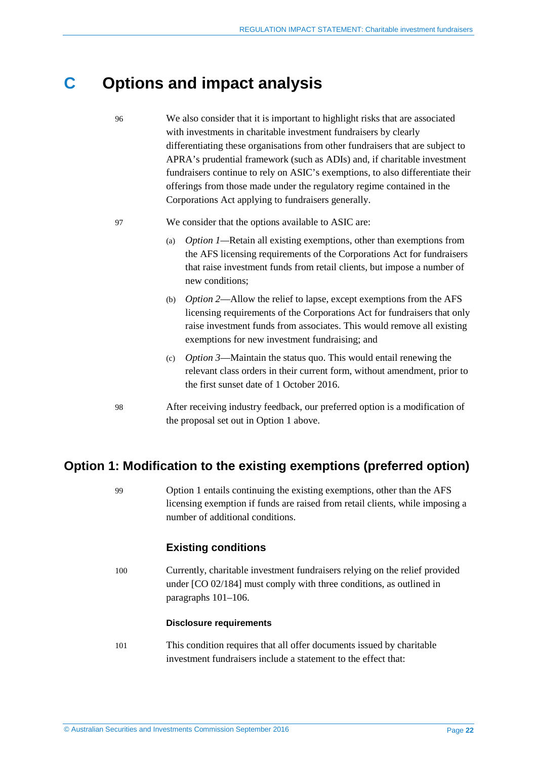## <span id="page-21-0"></span>**C Options and impact analysis**

- 96 We also consider that it is important to highlight risks that are associated with investments in charitable investment fundraisers by clearly differentiating these organisations from other fundraisers that are subject to APRA's prudential framework (such as ADIs) and, if charitable investment fundraisers continue to rely on ASIC's exemptions, to also differentiate their offerings from those made under the regulatory regime contained in the Corporations Act applying to fundraisers generally.
- 97 We consider that the options available to ASIC are:
	- (a) *Option 1—*Retain all existing exemptions, other than exemptions from the AFS licensing requirements of the Corporations Act for fundraisers that raise investment funds from retail clients, but impose a number of new conditions;
	- (b) *Option 2*—Allow the relief to lapse, except exemptions from the AFS licensing requirements of the Corporations Act for fundraisers that only raise investment funds from associates. This would remove all existing exemptions for new investment fundraising; and
	- (c) *Option 3*—Maintain the status quo. This would entail renewing the relevant class orders in their current form, without amendment, prior to the first sunset date of 1 October 2016.
- 98 After receiving industry feedback, our preferred option is a modification of the proposal set out in Option 1 above.

## <span id="page-21-1"></span>**Option 1: Modification to the existing exemptions (preferred option)**

99 Option 1 entails continuing the existing exemptions, other than the AFS licensing exemption if funds are raised from retail clients, while imposing a number of additional conditions.

### **Existing conditions**

100 Currently, charitable investment fundraisers relying on the relief provided under [CO 02/184] must comply with three conditions, as outlined in paragraphs [101](#page-21-2)[–106.](#page-22-0)

#### **Disclosure requirements**

<span id="page-21-2"></span>101 This condition requires that all offer documents issued by charitable investment fundraisers include a statement to the effect that: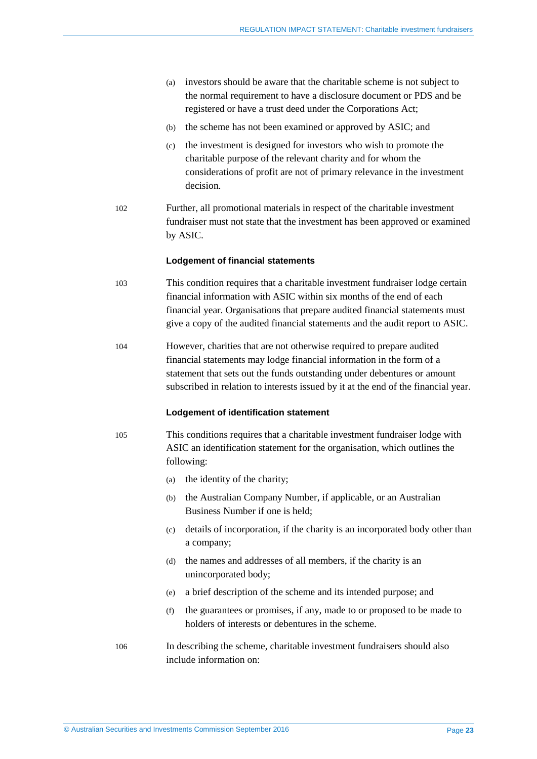- (a) investors should be aware that the charitable scheme is not subject to the normal requirement to have a disclosure document or PDS and be registered or have a trust deed under the Corporations Act;
- (b) the scheme has not been examined or approved by ASIC; and
- (c) the investment is designed for investors who wish to promote the charitable purpose of the relevant charity and for whom the considerations of profit are not of primary relevance in the investment decision.
- 102 Further, all promotional materials in respect of the charitable investment fundraiser must not state that the investment has been approved or examined by ASIC.

#### **Lodgement of financial statements**

- 103 This condition requires that a charitable investment fundraiser lodge certain financial information with ASIC within six months of the end of each financial year. Organisations that prepare audited financial statements must give a copy of the audited financial statements and the audit report to ASIC.
- 104 However, charities that are not otherwise required to prepare audited financial statements may lodge financial information in the form of a statement that sets out the funds outstanding under debentures or amount subscribed in relation to interests issued by it at the end of the financial year.

#### **Lodgement of identification statement**

105 This conditions requires that a charitable investment fundraiser lodge with ASIC an identification statement for the organisation, which outlines the following:

- (a) the identity of the charity;
- (b) the Australian Company Number, if applicable, or an Australian Business Number if one is held;
- (c) details of incorporation, if the charity is an incorporated body other than a company;
- (d) the names and addresses of all members, if the charity is an unincorporated body;
- (e) a brief description of the scheme and its intended purpose; and
- (f) the guarantees or promises, if any, made to or proposed to be made to holders of interests or debentures in the scheme.
- <span id="page-22-0"></span>106 In describing the scheme, charitable investment fundraisers should also include information on: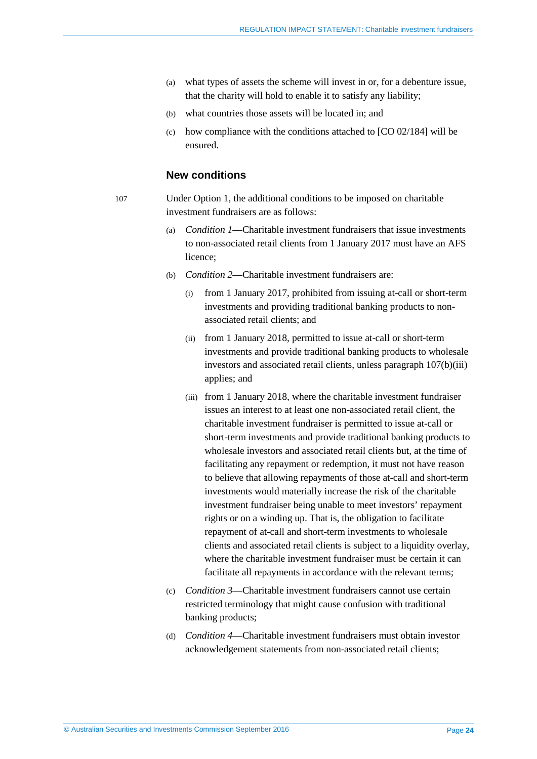- (a) what types of assets the scheme will invest in or, for a debenture issue, that the charity will hold to enable it to satisfy any liability;
- (b) what countries those assets will be located in; and
- (c) how compliance with the conditions attached to [CO 02/184] will be ensured.

#### **New conditions**

<span id="page-23-1"></span>107 Under Option 1, the additional conditions to be imposed on charitable investment fundraisers are as follows:

- (a) *Condition 1*—Charitable investment fundraisers that issue investments to non-associated retail clients from 1 January 2017 must have an AFS licence;
- <span id="page-23-0"></span>(b) *Condition 2*—Charitable investment fundraisers are:
	- from 1 January 2017, prohibited from issuing at-call or short-term investments and providing traditional banking products to nonassociated retail clients; and
	- (ii) from 1 January 2018, permitted to issue at-call or short-term investments and provide traditional banking products to wholesale investors and associated retail clients, unless paragraph [107\(b\)\(iii\)](#page-23-0) applies; and
	- (iii) from 1 January 2018, where the charitable investment fundraiser issues an interest to at least one non-associated retail client, the charitable investment fundraiser is permitted to issue at-call or short-term investments and provide traditional banking products to wholesale investors and associated retail clients but, at the time of facilitating any repayment or redemption, it must not have reason to believe that allowing repayments of those at-call and short-term investments would materially increase the risk of the charitable investment fundraiser being unable to meet investors' repayment rights or on a winding up. That is, the obligation to facilitate repayment of at-call and short-term investments to wholesale clients and associated retail clients is subject to a liquidity overlay, where the charitable investment fundraiser must be certain it can facilitate all repayments in accordance with the relevant terms;
- (c) *Condition 3*—Charitable investment fundraisers cannot use certain restricted terminology that might cause confusion with traditional banking products;
- (d) *Condition 4*—Charitable investment fundraisers must obtain investor acknowledgement statements from non-associated retail clients;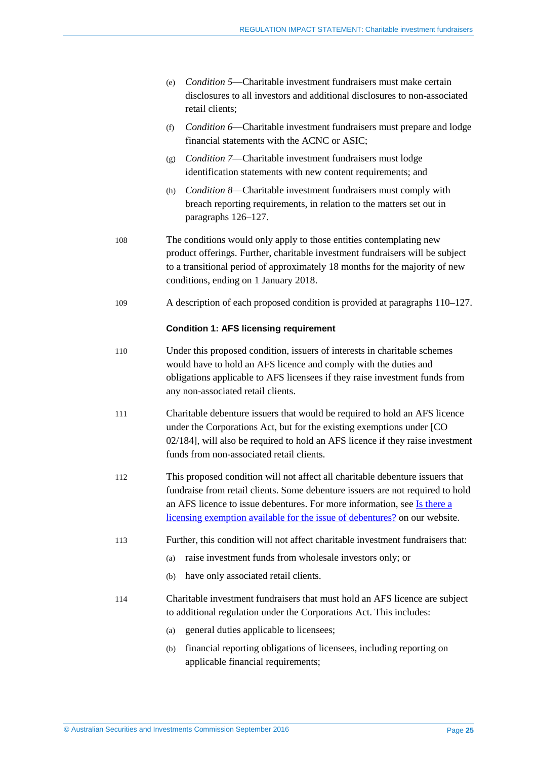| (e) <i>Condition 5</i> —Charitable investment fundraisers must make certain |
|-----------------------------------------------------------------------------|
| disclosures to all investors and additional disclosures to non-associated   |
| retail clients:                                                             |

- (f) *Condition 6*—Charitable investment fundraisers must prepare and lodge financial statements with the ACNC or ASIC;
- (g) *Condition 7*—Charitable investment fundraisers must lodge identification statements with new content requirements; and
- (h) *Condition 8*—Charitable investment fundraisers must comply with breach reporting requirements, in relation to the matters set out in paragraphs [126](#page-28-0)[–127.](#page-28-1)
- 108 The conditions would only apply to those entities contemplating new product offerings. Further, charitable investment fundraisers will be subject to a transitional period of approximately 18 months for the majority of new conditions, ending on 1 January 2018.
- 109 A description of each proposed condition is provided at paragraphs [110](#page-24-0)[–127.](#page-28-1)

#### **Condition 1: AFS licensing requirement**

- <span id="page-24-0"></span>110 Under this proposed condition, issuers of interests in charitable schemes would have to hold an AFS licence and comply with the duties and obligations applicable to AFS licensees if they raise investment funds from any non-associated retail clients.
- 111 Charitable debenture issuers that would be required to hold an AFS licence under the Corporations Act, but for the existing exemptions under [CO 02/184], will also be required to hold an AFS licence if they raise investment funds from non-associated retail clients.
- 112 This proposed condition will not affect all charitable debenture issuers that fundraise from retail clients. Some debenture issuers are not required to hold an AFS licence to issue debentures. For more information, see [Is there a](http://asic.gov.au/for-finance-professionals/afs-licensees/do-you-need-an-afs-licence/is-there-a-licensing-exemption-available-for-the-issue-of-debentures/)  [licensing exemption available for the issue of debentures?](http://asic.gov.au/for-finance-professionals/afs-licensees/do-you-need-an-afs-licence/is-there-a-licensing-exemption-available-for-the-issue-of-debentures/) on our website.
- 113 Further, this condition will not affect charitable investment fundraisers that:
	- (a) raise investment funds from wholesale investors only; or
	- (b) have only associated retail clients.
- 114 Charitable investment fundraisers that must hold an AFS licence are subject to additional regulation under the Corporations Act. This includes:
	- (a) general duties applicable to licensees;
	- (b) financial reporting obligations of licensees, including reporting on applicable financial requirements;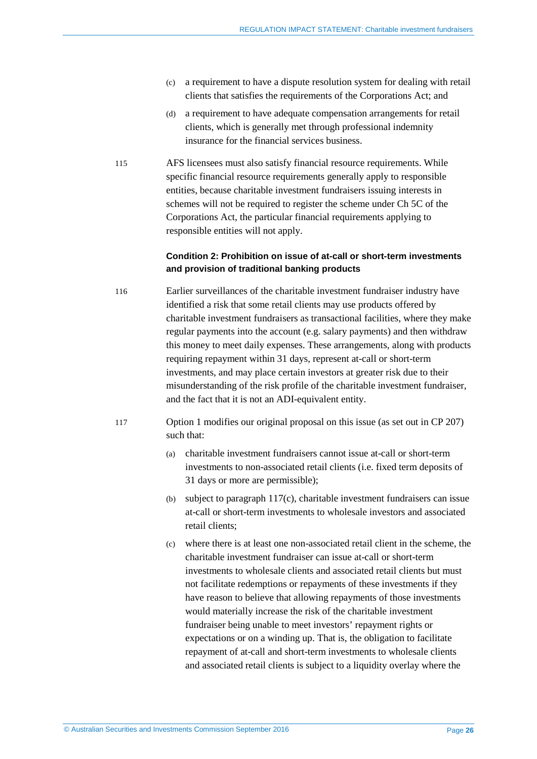- (c) a requirement to have a dispute resolution system for dealing with retail clients that satisfies the requirements of the Corporations Act; and
- (d) a requirement to have adequate compensation arrangements for retail clients, which is generally met through professional indemnity insurance for the financial services business.
- 115 AFS licensees must also satisfy financial resource requirements. While specific financial resource requirements generally apply to responsible entities, because charitable investment fundraisers issuing interests in schemes will not be required to register the scheme under Ch 5C of the Corporations Act, the particular financial requirements applying to responsible entities will not apply.

#### **Condition 2: Prohibition on issue of at-call or short-term investments and provision of traditional banking products**

- 116 Earlier surveillances of the charitable investment fundraiser industry have identified a risk that some retail clients may use products offered by charitable investment fundraisers as transactional facilities, where they make regular payments into the account (e.g. salary payments) and then withdraw this money to meet daily expenses. These arrangements, along with products requiring repayment within 31 days, represent at-call or short-term investments, and may place certain investors at greater risk due to their misunderstanding of the risk profile of the charitable investment fundraiser, and the fact that it is not an ADI-equivalent entity.
- <span id="page-25-1"></span><span id="page-25-0"></span>117 Option 1 modifies our original proposal on this issue (as set out in CP 207) such that:
	- (a) charitable investment fundraisers cannot issue at-call or short-term investments to non-associated retail clients (i.e. fixed term deposits of 31 days or more are permissible);
	- (b) subject to paragraph [117\(c\),](#page-25-0) charitable investment fundraisers can issue at-call or short-term investments to wholesale investors and associated retail clients;
	- (c) where there is at least one non-associated retail client in the scheme, the charitable investment fundraiser can issue at-call or short-term investments to wholesale clients and associated retail clients but must not facilitate redemptions or repayments of these investments if they have reason to believe that allowing repayments of those investments would materially increase the risk of the charitable investment fundraiser being unable to meet investors' repayment rights or expectations or on a winding up. That is, the obligation to facilitate repayment of at-call and short-term investments to wholesale clients and associated retail clients is subject to a liquidity overlay where the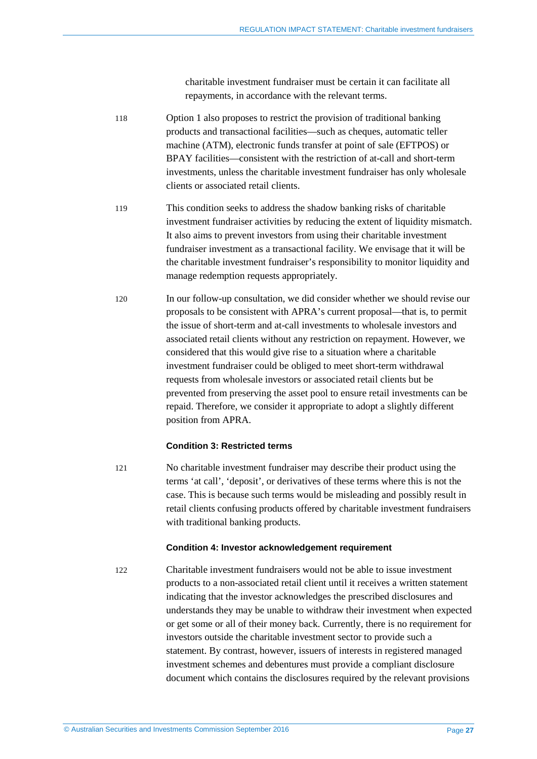charitable investment fundraiser must be certain it can facilitate all repayments, in accordance with the relevant terms.

- 118 Option 1 also proposes to restrict the provision of traditional banking products and transactional facilities—such as cheques, automatic teller machine (ATM), electronic funds transfer at point of sale (EFTPOS) or BPAY facilities—consistent with the restriction of at-call and short-term investments, unless the charitable investment fundraiser has only wholesale clients or associated retail clients.
- 119 This condition seeks to address the shadow banking risks of charitable investment fundraiser activities by reducing the extent of liquidity mismatch. It also aims to prevent investors from using their charitable investment fundraiser investment as a transactional facility. We envisage that it will be the charitable investment fundraiser's responsibility to monitor liquidity and manage redemption requests appropriately.
- 120 In our follow-up consultation, we did consider whether we should revise our proposals to be consistent with APRA's current proposal—that is, to permit the issue of short-term and at-call investments to wholesale investors and associated retail clients without any restriction on repayment. However, we considered that this would give rise to a situation where a charitable investment fundraiser could be obliged to meet short-term withdrawal requests from wholesale investors or associated retail clients but be prevented from preserving the asset pool to ensure retail investments can be repaid. Therefore, we consider it appropriate to adopt a slightly different position from APRA.

#### **Condition 3: Restricted terms**

121 No charitable investment fundraiser may describe their product using the terms 'at call', 'deposit', or derivatives of these terms where this is not the case. This is because such terms would be misleading and possibly result in retail clients confusing products offered by charitable investment fundraisers with traditional banking products.

#### **Condition 4: Investor acknowledgement requirement**

122 Charitable investment fundraisers would not be able to issue investment products to a non-associated retail client until it receives a written statement indicating that the investor acknowledges the prescribed disclosures and understands they may be unable to withdraw their investment when expected or get some or all of their money back. Currently, there is no requirement for investors outside the charitable investment sector to provide such a statement. By contrast, however, issuers of interests in registered managed investment schemes and debentures must provide a compliant disclosure document which contains the disclosures required by the relevant provisions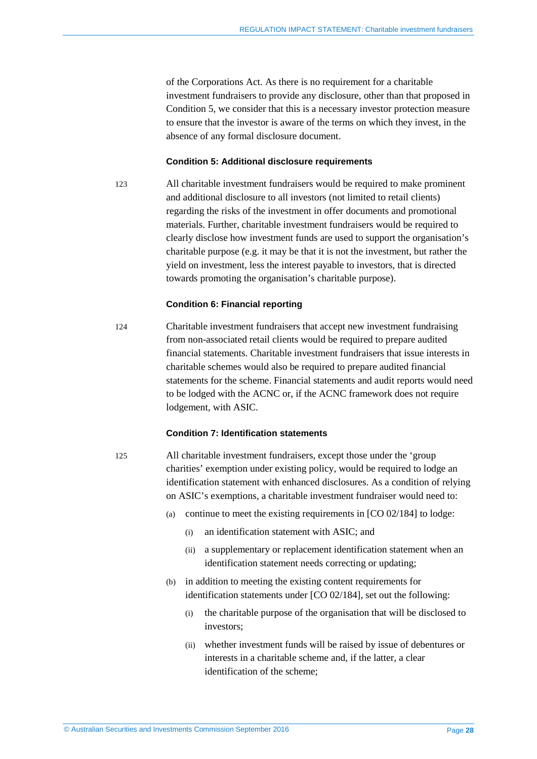of the Corporations Act. As there is no requirement for a charitable investment fundraisers to provide any disclosure, other than that proposed in Condition 5, we consider that this is a necessary investor protection measure to ensure that the investor is aware of the terms on which they invest, in the absence of any formal disclosure document.

#### **Condition 5: Additional disclosure requirements**

<span id="page-27-0"></span>123 All charitable investment fundraisers would be required to make prominent and additional disclosure to all investors (not limited to retail clients) regarding the risks of the investment in offer documents and promotional materials. Further, charitable investment fundraisers would be required to clearly disclose how investment funds are used to support the organisation's charitable purpose (e.g. it may be that it is not the investment, but rather the yield on investment, less the interest payable to investors, that is directed towards promoting the organisation's charitable purpose).

#### **Condition 6: Financial reporting**

124 Charitable investment fundraisers that accept new investment fundraising from non-associated retail clients would be required to prepare audited financial statements. Charitable investment fundraisers that issue interests in charitable schemes would also be required to prepare audited financial statements for the scheme. Financial statements and audit reports would need to be lodged with the ACNC or, if the ACNC framework does not require lodgement, with ASIC.

#### **Condition 7: Identification statements**

125 All charitable investment fundraisers, except those under the 'group charities' exemption under existing policy, would be required to lodge an identification statement with enhanced disclosures. As a condition of relying on ASIC's exemptions, a charitable investment fundraiser would need to:

- (a) continue to meet the existing requirements in [CO 02/184] to lodge:
	- (i) an identification statement with ASIC; and
	- (ii) a supplementary or replacement identification statement when an identification statement needs correcting or updating;
- (b) in addition to meeting the existing content requirements for identification statements under [CO 02/184], set out the following:
	- (i) the charitable purpose of the organisation that will be disclosed to investors;
	- (ii) whether investment funds will be raised by issue of debentures or interests in a charitable scheme and, if the latter, a clear identification of the scheme;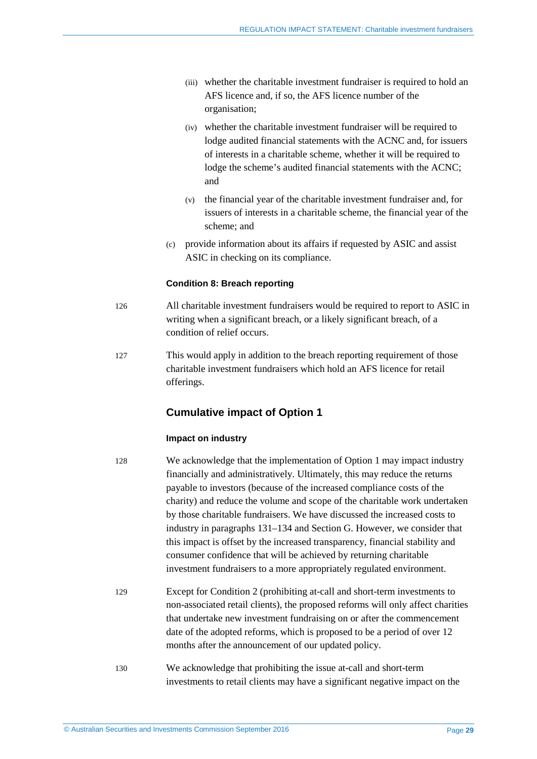- (iii) whether the charitable investment fundraiser is required to hold an AFS licence and, if so, the AFS licence number of the organisation;
- (iv) whether the charitable investment fundraiser will be required to lodge audited financial statements with the ACNC and, for issuers of interests in a charitable scheme, whether it will be required to lodge the scheme's audited financial statements with the ACNC; and
- (v) the financial year of the charitable investment fundraiser and, for issuers of interests in a charitable scheme, the financial year of the scheme; and
- (c) provide information about its affairs if requested by ASIC and assist ASIC in checking on its compliance.

#### **Condition 8: Breach reporting**

- <span id="page-28-0"></span>126 All charitable investment fundraisers would be required to report to ASIC in writing when a significant breach, or a likely significant breach, of a condition of relief occurs.
- <span id="page-28-1"></span>127 This would apply in addition to the breach reporting requirement of those charitable investment fundraisers which hold an AFS licence for retail offerings.

### **Cumulative impact of Option 1**

#### **Impact on industry**

128 We acknowledge that the implementation of Option 1 may impact industry financially and administratively. Ultimately, this may reduce the returns payable to investors (because of the increased compliance costs of the charity) and reduce the volume and scope of the charitable work undertaken by those charitable fundraisers. We have discussed the increased costs to industry in paragraphs [131](#page-29-0)[–134](#page-29-1) and Section [G.](#page-50-0) However, we consider that this impact is offset by the increased transparency, financial stability and consumer confidence that will be achieved by returning charitable investment fundraisers to a more appropriately regulated environment.

- 129 Except for Condition 2 (prohibiting at-call and short-term investments to non-associated retail clients), the proposed reforms will only affect charities that undertake new investment fundraising on or after the commencement date of the adopted reforms, which is proposed to be a period of over 12 months after the announcement of our updated policy.
- 130 We acknowledge that prohibiting the issue at-call and short-term investments to retail clients may have a significant negative impact on the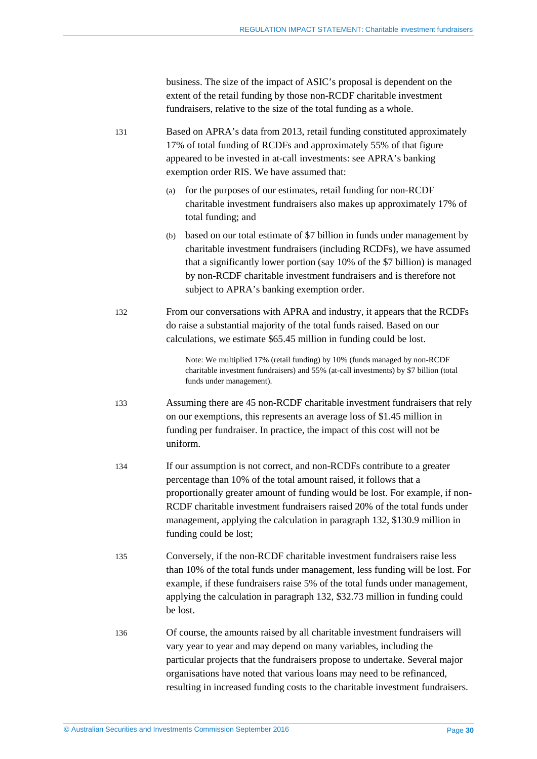business. The size of the impact of ASIC's proposal is dependent on the extent of the retail funding by those non-RCDF charitable investment fundraisers, relative to the size of the total funding as a whole.

<span id="page-29-0"></span>131 Based on APRA's data from 2013, retail funding constituted approximately 17% of total funding of RCDFs and approximately 55% of that figure appeared to be invested in at-call investments: see APRA's banking exemption order RIS. We have assumed that:

- (a) for the purposes of our estimates, retail funding for non-RCDF charitable investment fundraisers also makes up approximately 17% of total funding; and
- (b) based on our total estimate of \$7 billion in funds under management by charitable investment fundraisers (including RCDFs), we have assumed that a significantly lower portion (say 10% of the \$7 billion) is managed by non-RCDF charitable investment fundraisers and is therefore not subject to APRA's banking exemption order.
- <span id="page-29-2"></span>132 From our conversations with APRA and industry, it appears that the RCDFs do raise a substantial majority of the total funds raised. Based on our calculations, we estimate \$65.45 million in funding could be lost.

Note: We multiplied 17% (retail funding) by 10% (funds managed by non-RCDF charitable investment fundraisers) and 55% (at-call investments) by \$7 billion (total funds under management).

- <span id="page-29-3"></span>133 Assuming there are 45 non-RCDF charitable investment fundraisers that rely on our exemptions, this represents an average loss of \$1.45 million in funding per fundraiser. In practice, the impact of this cost will not be uniform.
- <span id="page-29-1"></span>134 If our assumption is not correct, and non-RCDFs contribute to a greater percentage than 10% of the total amount raised, it follows that a proportionally greater amount of funding would be lost. For example, if non-RCDF charitable investment fundraisers raised 20% of the total funds under management, applying the calculation in paragraph [132,](#page-29-2) \$130.9 million in funding could be lost;
- 135 Conversely, if the non-RCDF charitable investment fundraisers raise less than 10% of the total funds under management, less funding will be lost. For example, if these fundraisers raise 5% of the total funds under management, applying the calculation in paragraph [132,](#page-29-2) \$32.73 million in funding could be lost.
- 136 Of course, the amounts raised by all charitable investment fundraisers will vary year to year and may depend on many variables, including the particular projects that the fundraisers propose to undertake. Several major organisations have noted that various loans may need to be refinanced, resulting in increased funding costs to the charitable investment fundraisers.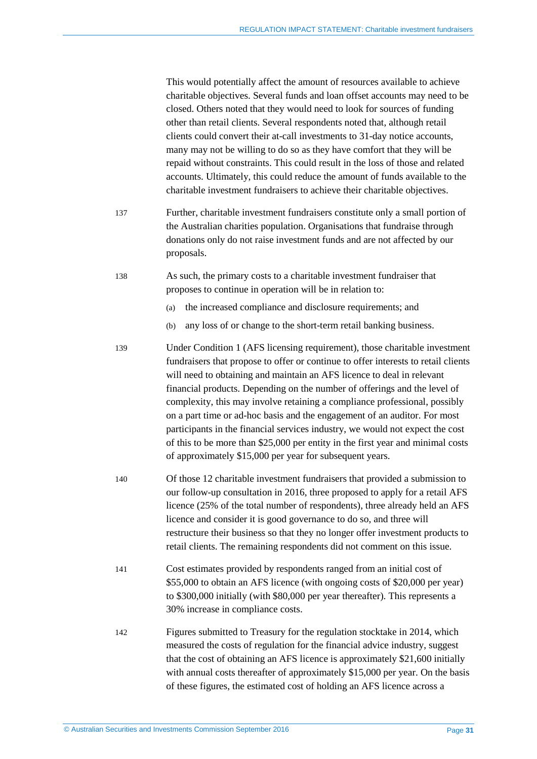This would potentially affect the amount of resources available to achieve charitable objectives. Several funds and loan offset accounts may need to be closed. Others noted that they would need to look for sources of funding other than retail clients. Several respondents noted that, although retail clients could convert their at-call investments to 31-day notice accounts, many may not be willing to do so as they have comfort that they will be repaid without constraints. This could result in the loss of those and related accounts. Ultimately, this could reduce the amount of funds available to the charitable investment fundraisers to achieve their charitable objectives.

- 137 Further, charitable investment fundraisers constitute only a small portion of the Australian charities population. Organisations that fundraise through donations only do not raise investment funds and are not affected by our proposals.
- 138 As such, the primary costs to a charitable investment fundraiser that proposes to continue in operation will be in relation to:
	- (a) the increased compliance and disclosure requirements; and
	- (b) any loss of or change to the short-term retail banking business.
- 139 Under Condition 1 (AFS licensing requirement), those charitable investment fundraisers that propose to offer or continue to offer interests to retail clients will need to obtaining and maintain an AFS licence to deal in relevant financial products. Depending on the number of offerings and the level of complexity, this may involve retaining a compliance professional, possibly on a part time or ad-hoc basis and the engagement of an auditor. For most participants in the financial services industry, we would not expect the cost of this to be more than \$25,000 per entity in the first year and minimal costs of approximately \$15,000 per year for subsequent years.
- <span id="page-30-0"></span>140 Of those 12 charitable investment fundraisers that provided a submission to our follow-up consultation in 2016, three proposed to apply for a retail AFS licence (25% of the total number of respondents), three already held an AFS licence and consider it is good governance to do so, and three will restructure their business so that they no longer offer investment products to retail clients. The remaining respondents did not comment on this issue.
- 141 Cost estimates provided by respondents ranged from an initial cost of \$55,000 to obtain an AFS licence (with ongoing costs of \$20,000 per year) to \$300,000 initially (with \$80,000 per year thereafter). This represents a 30% increase in compliance costs.
- 142 Figures submitted to Treasury for the regulation stocktake in 2014, which measured the costs of regulation for the financial advice industry, suggest that the cost of obtaining an AFS licence is approximately \$21,600 initially with annual costs thereafter of approximately \$15,000 per year. On the basis of these figures, the estimated cost of holding an AFS licence across a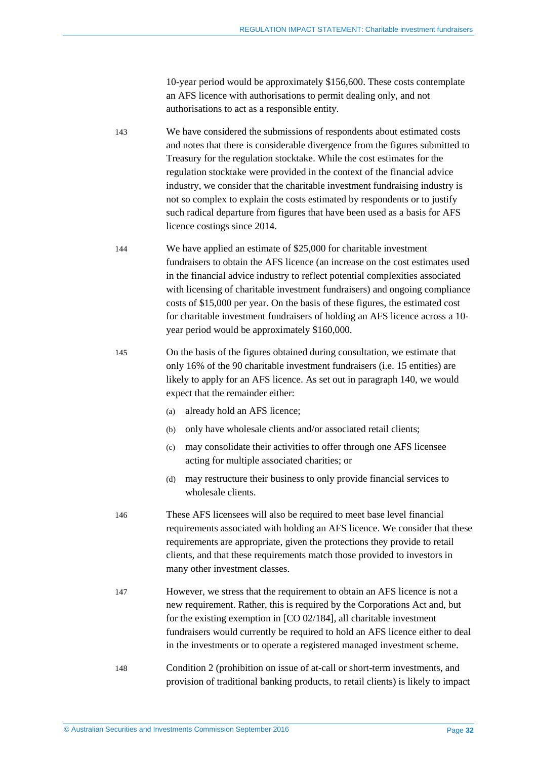10-year period would be approximately \$156,600. These costs contemplate an AFS licence with authorisations to permit dealing only, and not authorisations to act as a responsible entity.

- 143 We have considered the submissions of respondents about estimated costs and notes that there is considerable divergence from the figures submitted to Treasury for the regulation stocktake. While the cost estimates for the regulation stocktake were provided in the context of the financial advice industry, we consider that the charitable investment fundraising industry is not so complex to explain the costs estimated by respondents or to justify such radical departure from figures that have been used as a basis for AFS licence costings since 2014.
- 144 We have applied an estimate of \$25,000 for charitable investment fundraisers to obtain the AFS licence (an increase on the cost estimates used in the financial advice industry to reflect potential complexities associated with licensing of charitable investment fundraisers) and ongoing compliance costs of \$15,000 per year. On the basis of these figures, the estimated cost for charitable investment fundraisers of holding an AFS licence across a 10 year period would be approximately \$160,000.
- <span id="page-31-0"></span>145 On the basis of the figures obtained during consultation, we estimate that only 16% of the 90 charitable investment fundraisers (i.e. 15 entities) are likely to apply for an AFS licence. As set out in paragrap[h 140,](#page-30-0) we would expect that the remainder either:
	- (a) already hold an AFS licence;
	- (b) only have wholesale clients and/or associated retail clients;
	- (c) may consolidate their activities to offer through one AFS licensee acting for multiple associated charities; or
	- (d) may restructure their business to only provide financial services to wholesale clients.
- 146 These AFS licensees will also be required to meet base level financial requirements associated with holding an AFS licence. We consider that these requirements are appropriate, given the protections they provide to retail clients, and that these requirements match those provided to investors in many other investment classes.
- 147 However, we stress that the requirement to obtain an AFS licence is not a new requirement. Rather, this is required by the Corporations Act and, but for the existing exemption in [CO 02/184], all charitable investment fundraisers would currently be required to hold an AFS licence either to deal in the investments or to operate a registered managed investment scheme.
- 148 Condition 2 (prohibition on issue of at-call or short-term investments, and provision of traditional banking products, to retail clients) is likely to impact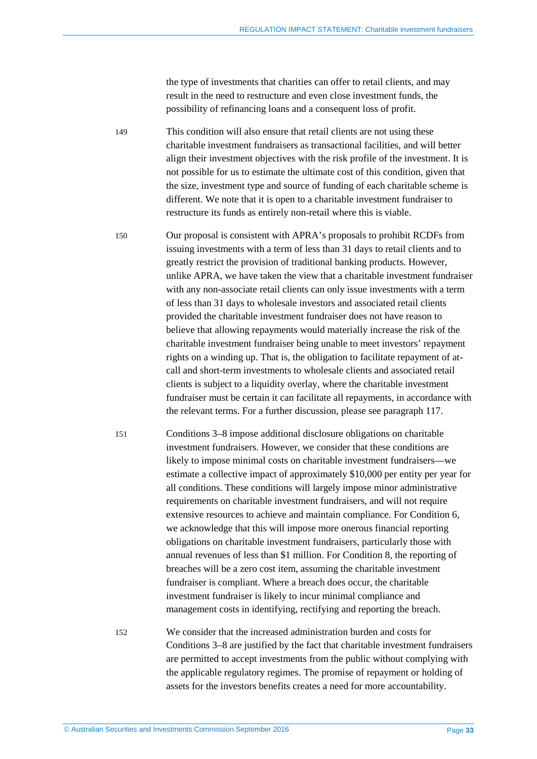the type of investments that charities can offer to retail clients, and may result in the need to restructure and even close investment funds, the possibility of refinancing loans and a consequent loss of profit.

149 This condition will also ensure that retail clients are not using these charitable investment fundraisers as transactional facilities, and will better align their investment objectives with the risk profile of the investment. It is not possible for us to estimate the ultimate cost of this condition, given that the size, investment type and source of funding of each charitable scheme is different. We note that it is open to a charitable investment fundraiser to restructure its funds as entirely non-retail where this is viable.

150 Our proposal is consistent with APRA's proposals to prohibit RCDFs from issuing investments with a term of less than 31 days to retail clients and to greatly restrict the provision of traditional banking products. However, unlike APRA, we have taken the view that a charitable investment fundraiser with any non-associate retail clients can only issue investments with a term of less than 31 days to wholesale investors and associated retail clients provided the charitable investment fundraiser does not have reason to believe that allowing repayments would materially increase the risk of the charitable investment fundraiser being unable to meet investors' repayment rights on a winding up. That is, the obligation to facilitate repayment of atcall and short-term investments to wholesale clients and associated retail clients is subject to a liquidity overlay, where the charitable investment fundraiser must be certain it can facilitate all repayments, in accordance with the relevant terms. For a further discussion, please see paragraph [117.](#page-25-1)

151 Conditions 3–8 impose additional disclosure obligations on charitable investment fundraisers. However, we consider that these conditions are likely to impose minimal costs on charitable investment fundraisers—we estimate a collective impact of approximately \$10,000 per entity per year for all conditions. These conditions will largely impose minor administrative requirements on charitable investment fundraisers, and will not require extensive resources to achieve and maintain compliance. For Condition 6, we acknowledge that this will impose more onerous financial reporting obligations on charitable investment fundraisers, particularly those with annual revenues of less than \$1 million. For Condition 8, the reporting of breaches will be a zero cost item, assuming the charitable investment fundraiser is compliant. Where a breach does occur, the charitable investment fundraiser is likely to incur minimal compliance and management costs in identifying, rectifying and reporting the breach.

152 We consider that the increased administration burden and costs for Conditions 3–8 are justified by the fact that charitable investment fundraisers are permitted to accept investments from the public without complying with the applicable regulatory regimes. The promise of repayment or holding of assets for the investors benefits creates a need for more accountability.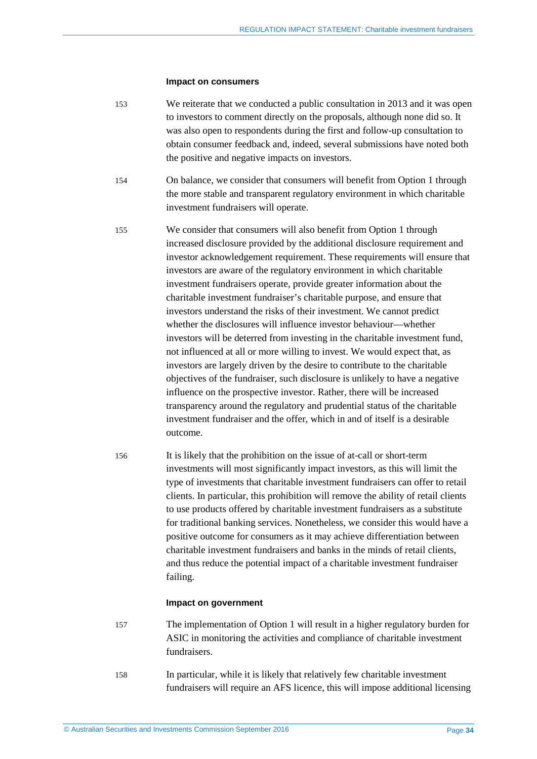#### **Impact on consumers**

- 153 We reiterate that we conducted a public consultation in 2013 and it was open to investors to comment directly on the proposals, although none did so. It was also open to respondents during the first and follow-up consultation to obtain consumer feedback and, indeed, several submissions have noted both the positive and negative impacts on investors.
- 154 On balance, we consider that consumers will benefit from Option 1 through the more stable and transparent regulatory environment in which charitable investment fundraisers will operate.
- 155 We consider that consumers will also benefit from Option 1 through increased disclosure provided by the additional disclosure requirement and investor acknowledgement requirement. These requirements will ensure that investors are aware of the regulatory environment in which charitable investment fundraisers operate, provide greater information about the charitable investment fundraiser's charitable purpose, and ensure that investors understand the risks of their investment. We cannot predict whether the disclosures will influence investor behaviour—whether investors will be deterred from investing in the charitable investment fund, not influenced at all or more willing to invest. We would expect that, as investors are largely driven by the desire to contribute to the charitable objectives of the fundraiser, such disclosure is unlikely to have a negative influence on the prospective investor. Rather, there will be increased transparency around the regulatory and prudential status of the charitable investment fundraiser and the offer, which in and of itself is a desirable outcome.
- 156 It is likely that the prohibition on the issue of at-call or short-term investments will most significantly impact investors, as this will limit the type of investments that charitable investment fundraisers can offer to retail clients. In particular, this prohibition will remove the ability of retail clients to use products offered by charitable investment fundraisers as a substitute for traditional banking services. Nonetheless, we consider this would have a positive outcome for consumers as it may achieve differentiation between charitable investment fundraisers and banks in the minds of retail clients, and thus reduce the potential impact of a charitable investment fundraiser failing.

#### **Impact on government**

- 157 The implementation of Option 1 will result in a higher regulatory burden for ASIC in monitoring the activities and compliance of charitable investment fundraisers.
- 158 In particular, while it is likely that relatively few charitable investment fundraisers will require an AFS licence, this will impose additional licensing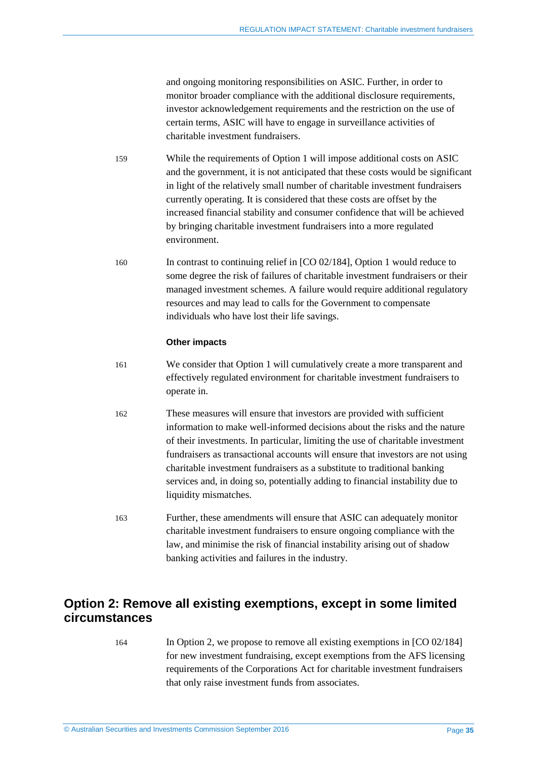and ongoing monitoring responsibilities on ASIC. Further, in order to monitor broader compliance with the additional disclosure requirements, investor acknowledgement requirements and the restriction on the use of certain terms, ASIC will have to engage in surveillance activities of charitable investment fundraisers.

- 159 While the requirements of Option 1 will impose additional costs on ASIC and the government, it is not anticipated that these costs would be significant in light of the relatively small number of charitable investment fundraisers currently operating. It is considered that these costs are offset by the increased financial stability and consumer confidence that will be achieved by bringing charitable investment fundraisers into a more regulated environment.
- 160 In contrast to continuing relief in [CO 02/184], Option 1 would reduce to some degree the risk of failures of charitable investment fundraisers or their managed investment schemes. A failure would require additional regulatory resources and may lead to calls for the Government to compensate individuals who have lost their life savings.

#### **Other impacts**

- 161 We consider that Option 1 will cumulatively create a more transparent and effectively regulated environment for charitable investment fundraisers to operate in.
- 162 These measures will ensure that investors are provided with sufficient information to make well-informed decisions about the risks and the nature of their investments. In particular, limiting the use of charitable investment fundraisers as transactional accounts will ensure that investors are not using charitable investment fundraisers as a substitute to traditional banking services and, in doing so, potentially adding to financial instability due to liquidity mismatches.
- 163 Further, these amendments will ensure that ASIC can adequately monitor charitable investment fundraisers to ensure ongoing compliance with the law, and minimise the risk of financial instability arising out of shadow banking activities and failures in the industry.

## <span id="page-34-0"></span>**Option 2: Remove all existing exemptions, except in some limited circumstances**

164 In Option 2, we propose to remove all existing exemptions in [CO 02/184] for new investment fundraising, except exemptions from the AFS licensing requirements of the Corporations Act for charitable investment fundraisers that only raise investment funds from associates.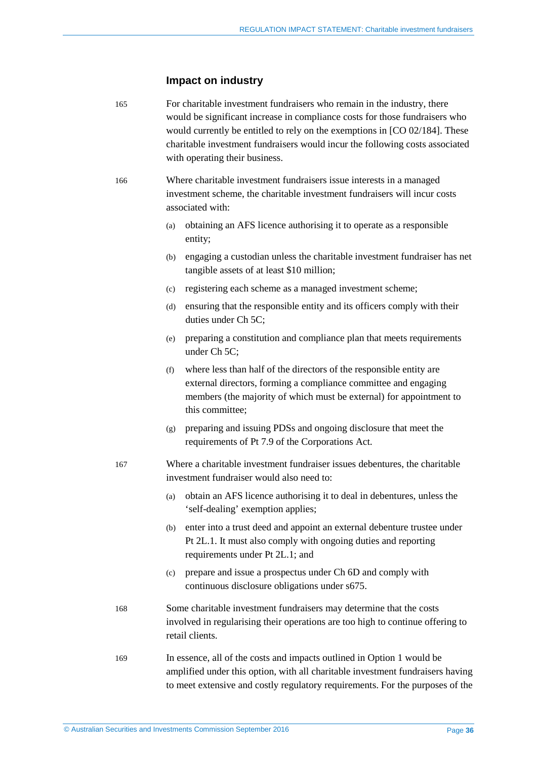#### **Impact on industry**

165 For charitable investment fundraisers who remain in the industry, there would be significant increase in compliance costs for those fundraisers who would currently be entitled to rely on the exemptions in [CO 02/184]. These charitable investment fundraisers would incur the following costs associated with operating their business.

166 Where charitable investment fundraisers issue interests in a managed investment scheme, the charitable investment fundraisers will incur costs associated with:

- (a) obtaining an AFS licence authorising it to operate as a responsible entity;
- (b) engaging a custodian unless the charitable investment fundraiser has net tangible assets of at least \$10 million;
- (c) registering each scheme as a managed investment scheme;
- (d) ensuring that the responsible entity and its officers comply with their duties under Ch 5C;
- (e) preparing a constitution and compliance plan that meets requirements under Ch 5C;
- (f) where less than half of the directors of the responsible entity are external directors, forming a compliance committee and engaging members (the majority of which must be external) for appointment to this committee;
- (g) preparing and issuing PDSs and ongoing disclosure that meet the requirements of Pt 7.9 of the Corporations Act.
- 167 Where a charitable investment fundraiser issues debentures, the charitable investment fundraiser would also need to:
	- (a) obtain an AFS licence authorising it to deal in debentures, unless the 'self-dealing' exemption applies;
	- (b) enter into a trust deed and appoint an external debenture trustee under Pt 2L.1. It must also comply with ongoing duties and reporting requirements under Pt 2L.1; and
	- (c) prepare and issue a prospectus under Ch 6D and comply with continuous disclosure obligations under s675.
- 168 Some charitable investment fundraisers may determine that the costs involved in regularising their operations are too high to continue offering to retail clients.
- 169 In essence, all of the costs and impacts outlined in Option 1 would be amplified under this option, with all charitable investment fundraisers having to meet extensive and costly regulatory requirements. For the purposes of the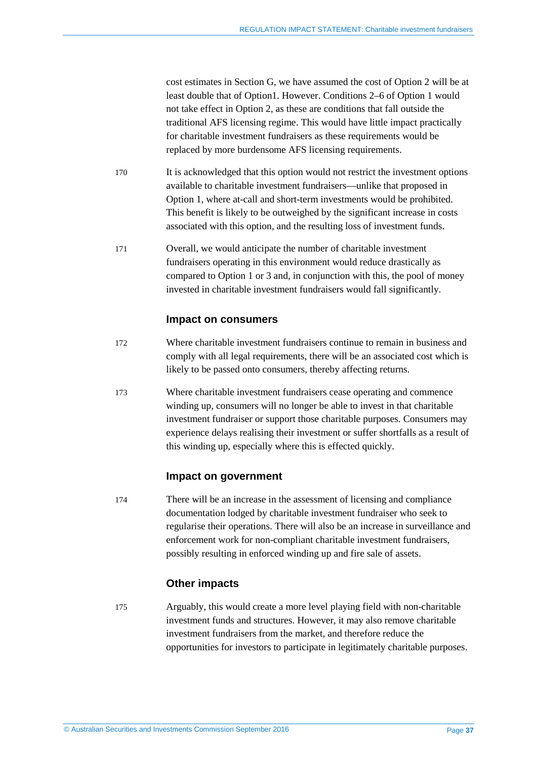cost estimates in Section [G,](#page-50-0) we have assumed the cost of Option 2 will be at least double that of Option1. However. Conditions 2–6 of Option 1 would not take effect in Option 2, as these are conditions that fall outside the traditional AFS licensing regime. This would have little impact practically for charitable investment fundraisers as these requirements would be replaced by more burdensome AFS licensing requirements.

- 170 It is acknowledged that this option would not restrict the investment options available to charitable investment fundraisers—unlike that proposed in Option 1, where at-call and short-term investments would be prohibited. This benefit is likely to be outweighed by the significant increase in costs associated with this option, and the resulting loss of investment funds.
- 171 Overall, we would anticipate the number of charitable investment fundraisers operating in this environment would reduce drastically as compared to Option 1 or 3 and, in conjunction with this, the pool of money invested in charitable investment fundraisers would fall significantly.

#### **Impact on consumers**

- 172 Where charitable investment fundraisers continue to remain in business and comply with all legal requirements, there will be an associated cost which is likely to be passed onto consumers, thereby affecting returns.
- 173 Where charitable investment fundraisers cease operating and commence winding up, consumers will no longer be able to invest in that charitable investment fundraiser or support those charitable purposes. Consumers may experience delays realising their investment or suffer shortfalls as a result of this winding up, especially where this is effected quickly.

### **Impact on government**

174 There will be an increase in the assessment of licensing and compliance documentation lodged by charitable investment fundraiser who seek to regularise their operations. There will also be an increase in surveillance and enforcement work for non-compliant charitable investment fundraisers, possibly resulting in enforced winding up and fire sale of assets.

### **Other impacts**

175 Arguably, this would create a more level playing field with non-charitable investment funds and structures. However, it may also remove charitable investment fundraisers from the market, and therefore reduce the opportunities for investors to participate in legitimately charitable purposes.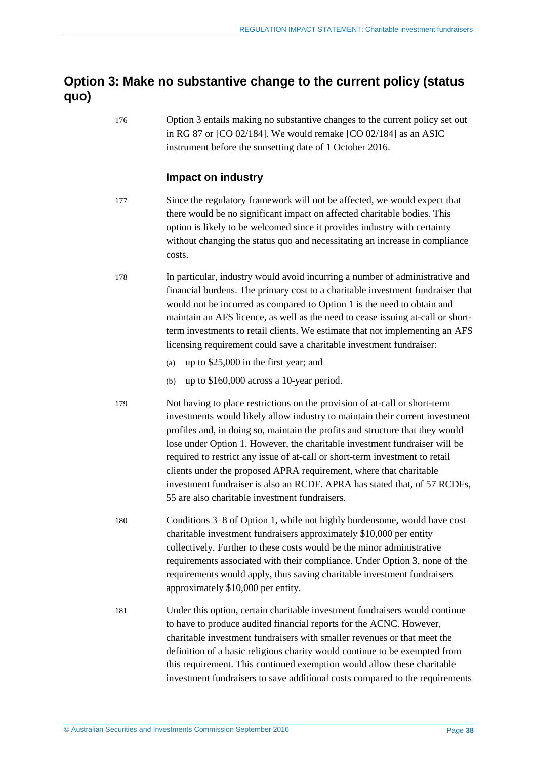## <span id="page-37-0"></span>**Option 3: Make no substantive change to the current policy (status quo)**

176 Option 3 entails making no substantive changes to the current policy set out in RG 87 or [CO 02/184]. We would remake [CO 02/184] as an ASIC instrument before the sunsetting date of 1 October 2016.

### **Impact on industry**

- 177 Since the regulatory framework will not be affected, we would expect that there would be no significant impact on affected charitable bodies. This option is likely to be welcomed since it provides industry with certainty without changing the status quo and necessitating an increase in compliance costs.
- 178 In particular, industry would avoid incurring a number of administrative and financial burdens. The primary cost to a charitable investment fundraiser that would not be incurred as compared to Option 1 is the need to obtain and maintain an AFS licence, as well as the need to cease issuing at-call or shortterm investments to retail clients. We estimate that not implementing an AFS licensing requirement could save a charitable investment fundraiser:
	- (a) up to \$25,000 in the first year; and
	- (b) up to \$160,000 across a 10-year period.
- 179 Not having to place restrictions on the provision of at-call or short-term investments would likely allow industry to maintain their current investment profiles and, in doing so, maintain the profits and structure that they would lose under Option 1. However, the charitable investment fundraiser will be required to restrict any issue of at-call or short-term investment to retail clients under the proposed APRA requirement, where that charitable investment fundraiser is also an RCDF. APRA has stated that, of 57 RCDFs, 55 are also charitable investment fundraisers.
- 180 Conditions 3–8 of Option 1, while not highly burdensome, would have cost charitable investment fundraisers approximately \$10,000 per entity collectively. Further to these costs would be the minor administrative requirements associated with their compliance. Under Option 3, none of the requirements would apply, thus saving charitable investment fundraisers approximately \$10,000 per entity.
- 181 Under this option, certain charitable investment fundraisers would continue to have to produce audited financial reports for the ACNC. However, charitable investment fundraisers with smaller revenues or that meet the definition of a basic religious charity would continue to be exempted from this requirement. This continued exemption would allow these charitable investment fundraisers to save additional costs compared to the requirements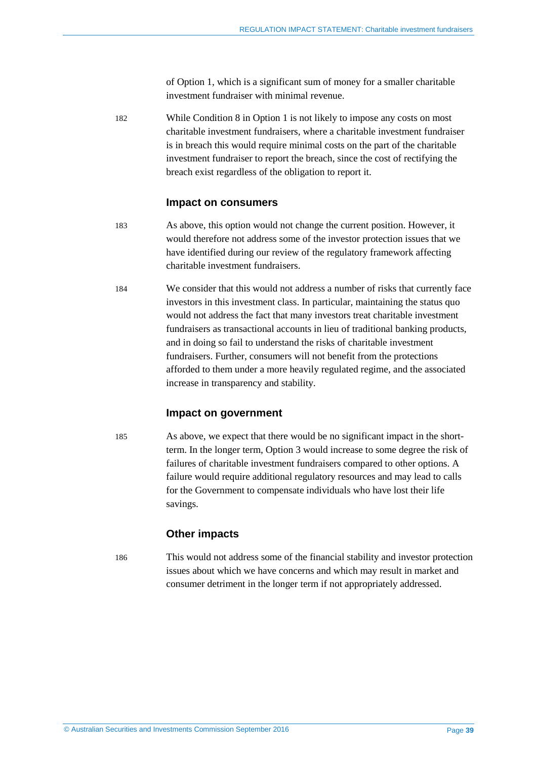of Option 1, which is a significant sum of money for a smaller charitable investment fundraiser with minimal revenue.

182 While Condition 8 in Option 1 is not likely to impose any costs on most charitable investment fundraisers, where a charitable investment fundraiser is in breach this would require minimal costs on the part of the charitable investment fundraiser to report the breach, since the cost of rectifying the breach exist regardless of the obligation to report it.

#### **Impact on consumers**

- 183 As above, this option would not change the current position. However, it would therefore not address some of the investor protection issues that we have identified during our review of the regulatory framework affecting charitable investment fundraisers.
- 184 We consider that this would not address a number of risks that currently face investors in this investment class. In particular, maintaining the status quo would not address the fact that many investors treat charitable investment fundraisers as transactional accounts in lieu of traditional banking products, and in doing so fail to understand the risks of charitable investment fundraisers. Further, consumers will not benefit from the protections afforded to them under a more heavily regulated regime, and the associated increase in transparency and stability.

#### **Impact on government**

185 As above, we expect that there would be no significant impact in the shortterm. In the longer term, Option 3 would increase to some degree the risk of failures of charitable investment fundraisers compared to other options. A failure would require additional regulatory resources and may lead to calls for the Government to compensate individuals who have lost their life savings.

#### **Other impacts**

186 This would not address some of the financial stability and investor protection issues about which we have concerns and which may result in market and consumer detriment in the longer term if not appropriately addressed.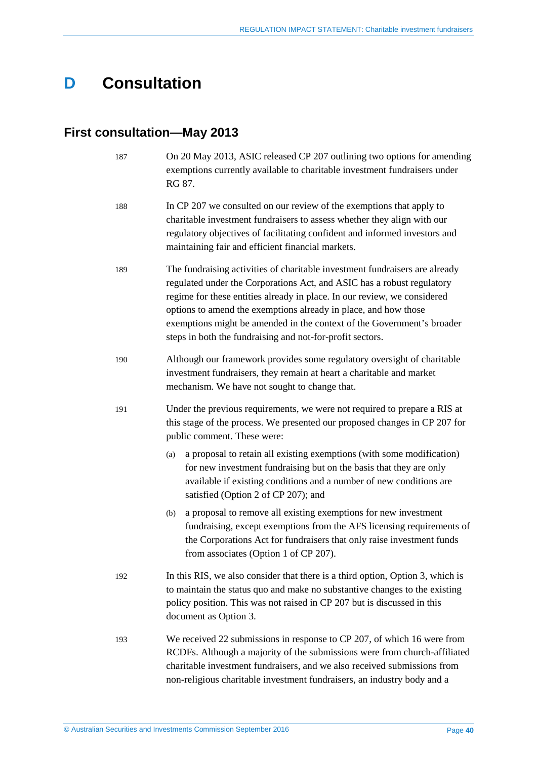## <span id="page-39-0"></span>**D Consultation**

## <span id="page-39-2"></span><span id="page-39-1"></span>**First consultation—May 2013**

<span id="page-39-3"></span>

| 187 | On 20 May 2013, ASIC released CP 207 outlining two options for amending<br>exemptions currently available to charitable investment fundraisers under<br>RG 87.                                                                                                                                                                                                                                                                              |  |  |
|-----|---------------------------------------------------------------------------------------------------------------------------------------------------------------------------------------------------------------------------------------------------------------------------------------------------------------------------------------------------------------------------------------------------------------------------------------------|--|--|
| 188 | In CP 207 we consulted on our review of the exemptions that apply to<br>charitable investment fundraisers to assess whether they align with our<br>regulatory objectives of facilitating confident and informed investors and<br>maintaining fair and efficient financial markets.                                                                                                                                                          |  |  |
| 189 | The fundraising activities of charitable investment fundraisers are already<br>regulated under the Corporations Act, and ASIC has a robust regulatory<br>regime for these entities already in place. In our review, we considered<br>options to amend the exemptions already in place, and how those<br>exemptions might be amended in the context of the Government's broader<br>steps in both the fundraising and not-for-profit sectors. |  |  |
| 190 | Although our framework provides some regulatory oversight of charitable<br>investment fundraisers, they remain at heart a charitable and market<br>mechanism. We have not sought to change that.                                                                                                                                                                                                                                            |  |  |
| 191 | Under the previous requirements, we were not required to prepare a RIS at<br>this stage of the process. We presented our proposed changes in CP 207 for<br>public comment. These were:                                                                                                                                                                                                                                                      |  |  |
|     | a proposal to retain all existing exemptions (with some modification)<br>(a)<br>for new investment fundraising but on the basis that they are only<br>available if existing conditions and a number of new conditions are<br>satisfied (Option 2 of CP 207); and                                                                                                                                                                            |  |  |
|     | a proposal to remove all existing exemptions for new investment<br>(b)<br>fundraising, except exemptions from the AFS licensing requirements of<br>the Corporations Act for fundraisers that only raise investment funds<br>from associates (Option 1 of CP 207).                                                                                                                                                                           |  |  |
| 192 | In this RIS, we also consider that there is a third option, Option 3, which is<br>to maintain the status quo and make no substantive changes to the existing<br>policy position. This was not raised in CP 207 but is discussed in this<br>document as Option 3.                                                                                                                                                                            |  |  |
| 193 | We received 22 submissions in response to CP 207, of which 16 were from<br>RCDFs. Although a majority of the submissions were from church-affiliated<br>charitable investment fundraisers, and we also received submissions from<br>non-religious charitable investment fundraisers, an industry body and a                                                                                                                                 |  |  |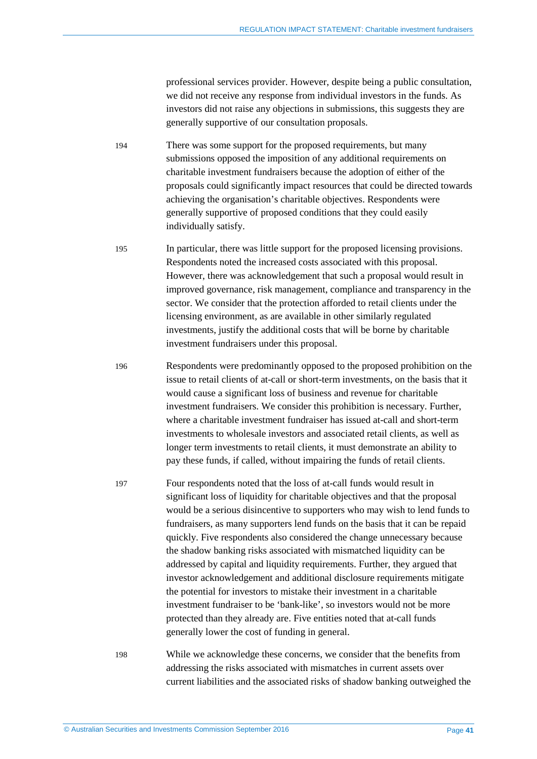professional services provider. However, despite being a public consultation, we did not receive any response from individual investors in the funds. As investors did not raise any objections in submissions, this suggests they are generally supportive of our consultation proposals.

194 There was some support for the proposed requirements, but many submissions opposed the imposition of any additional requirements on charitable investment fundraisers because the adoption of either of the proposals could significantly impact resources that could be directed towards achieving the organisation's charitable objectives. Respondents were generally supportive of proposed conditions that they could easily individually satisfy.

195 In particular, there was little support for the proposed licensing provisions. Respondents noted the increased costs associated with this proposal. However, there was acknowledgement that such a proposal would result in improved governance, risk management, compliance and transparency in the sector. We consider that the protection afforded to retail clients under the licensing environment, as are available in other similarly regulated investments, justify the additional costs that will be borne by charitable investment fundraisers under this proposal.

196 Respondents were predominantly opposed to the proposed prohibition on the issue to retail clients of at-call or short-term investments, on the basis that it would cause a significant loss of business and revenue for charitable investment fundraisers. We consider this prohibition is necessary. Further, where a charitable investment fundraiser has issued at-call and short-term investments to wholesale investors and associated retail clients, as well as longer term investments to retail clients, it must demonstrate an ability to pay these funds, if called, without impairing the funds of retail clients.

197 Four respondents noted that the loss of at-call funds would result in significant loss of liquidity for charitable objectives and that the proposal would be a serious disincentive to supporters who may wish to lend funds to fundraisers, as many supporters lend funds on the basis that it can be repaid quickly. Five respondents also considered the change unnecessary because the shadow banking risks associated with mismatched liquidity can be addressed by capital and liquidity requirements. Further, they argued that investor acknowledgement and additional disclosure requirements mitigate the potential for investors to mistake their investment in a charitable investment fundraiser to be 'bank-like', so investors would not be more protected than they already are. Five entities noted that at-call funds generally lower the cost of funding in general.

198 While we acknowledge these concerns, we consider that the benefits from addressing the risks associated with mismatches in current assets over current liabilities and the associated risks of shadow banking outweighed the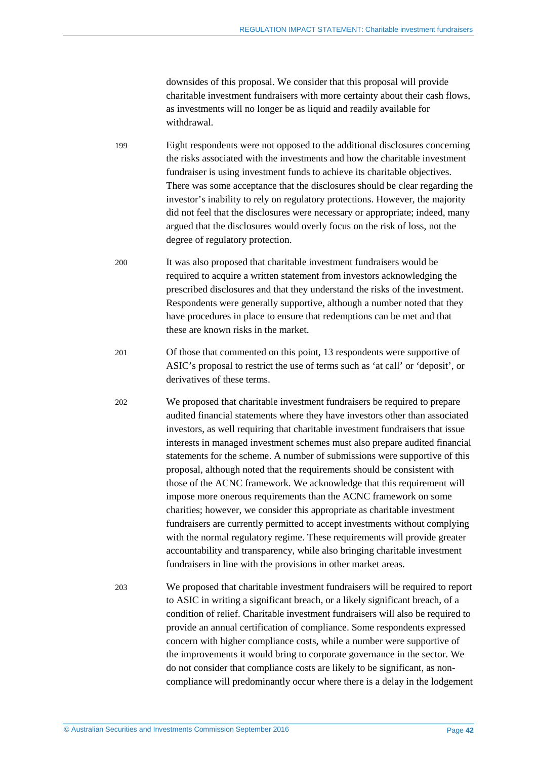downsides of this proposal. We consider that this proposal will provide charitable investment fundraisers with more certainty about their cash flows, as investments will no longer be as liquid and readily available for withdrawal.

- 199 Eight respondents were not opposed to the additional disclosures concerning the risks associated with the investments and how the charitable investment fundraiser is using investment funds to achieve its charitable objectives. There was some acceptance that the disclosures should be clear regarding the investor's inability to rely on regulatory protections. However, the majority did not feel that the disclosures were necessary or appropriate; indeed, many argued that the disclosures would overly focus on the risk of loss, not the degree of regulatory protection.
- 200 It was also proposed that charitable investment fundraisers would be required to acquire a written statement from investors acknowledging the prescribed disclosures and that they understand the risks of the investment. Respondents were generally supportive, although a number noted that they have procedures in place to ensure that redemptions can be met and that these are known risks in the market.
- 201 Of those that commented on this point, 13 respondents were supportive of ASIC's proposal to restrict the use of terms such as 'at call' or 'deposit', or derivatives of these terms.
- 202 We proposed that charitable investment fundraisers be required to prepare audited financial statements where they have investors other than associated investors, as well requiring that charitable investment fundraisers that issue interests in managed investment schemes must also prepare audited financial statements for the scheme. A number of submissions were supportive of this proposal, although noted that the requirements should be consistent with those of the ACNC framework. We acknowledge that this requirement will impose more onerous requirements than the ACNC framework on some charities; however, we consider this appropriate as charitable investment fundraisers are currently permitted to accept investments without complying with the normal regulatory regime. These requirements will provide greater accountability and transparency, while also bringing charitable investment fundraisers in line with the provisions in other market areas.
- 203 We proposed that charitable investment fundraisers will be required to report to ASIC in writing a significant breach, or a likely significant breach, of a condition of relief. Charitable investment fundraisers will also be required to provide an annual certification of compliance. Some respondents expressed concern with higher compliance costs, while a number were supportive of the improvements it would bring to corporate governance in the sector. We do not consider that compliance costs are likely to be significant, as noncompliance will predominantly occur where there is a delay in the lodgement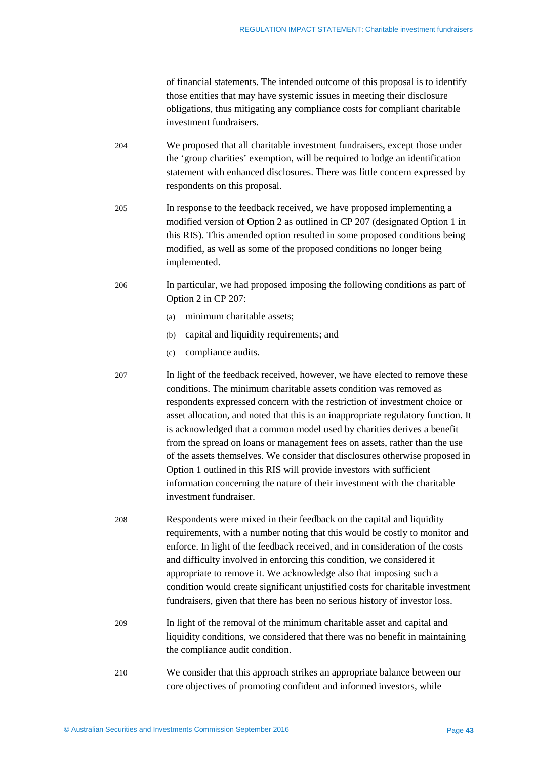of financial statements. The intended outcome of this proposal is to identify those entities that may have systemic issues in meeting their disclosure obligations, thus mitigating any compliance costs for compliant charitable investment fundraisers.

- 204 We proposed that all charitable investment fundraisers, except those under the 'group charities' exemption, will be required to lodge an identification statement with enhanced disclosures. There was little concern expressed by respondents on this proposal.
- 205 In response to the feedback received, we have proposed implementing a modified version of Option 2 as outlined in CP 207 (designated Option 1 in this RIS). This amended option resulted in some proposed conditions being modified, as well as some of the proposed conditions no longer being implemented.
- <span id="page-42-0"></span>206 In particular, we had proposed imposing the following conditions as part of Option 2 in CP 207:
	- (a) minimum charitable assets;
	- (b) capital and liquidity requirements; and
	- (c) compliance audits.

207 In light of the feedback received, however, we have elected to remove these conditions. The minimum charitable assets condition was removed as respondents expressed concern with the restriction of investment choice or asset allocation, and noted that this is an inappropriate regulatory function. It is acknowledged that a common model used by charities derives a benefit from the spread on loans or management fees on assets, rather than the use of the assets themselves. We consider that disclosures otherwise proposed in Option 1 outlined in this RIS will provide investors with sufficient information concerning the nature of their investment with the charitable investment fundraiser.

- 208 Respondents were mixed in their feedback on the capital and liquidity requirements, with a number noting that this would be costly to monitor and enforce. In light of the feedback received, and in consideration of the costs and difficulty involved in enforcing this condition, we considered it appropriate to remove it. We acknowledge also that imposing such a condition would create significant unjustified costs for charitable investment fundraisers, given that there has been no serious history of investor loss.
- 209 In light of the removal of the minimum charitable asset and capital and liquidity conditions, we considered that there was no benefit in maintaining the compliance audit condition.
- <span id="page-42-1"></span>210 We consider that this approach strikes an appropriate balance between our core objectives of promoting confident and informed investors, while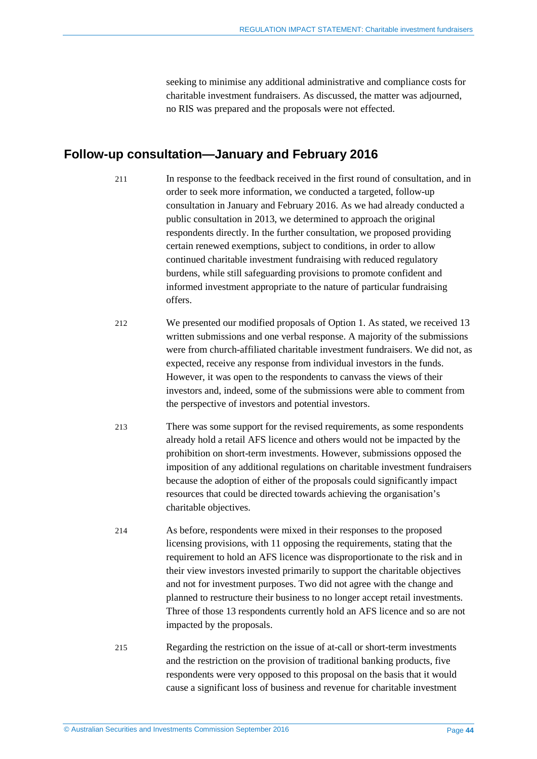seeking to minimise any additional administrative and compliance costs for charitable investment fundraisers. As discussed, the matter was adjourned, no RIS was prepared and the proposals were not effected.

### <span id="page-43-1"></span><span id="page-43-0"></span>**Follow-up consultation—January and February 2016**

- 211 In response to the feedback received in the first round of consultation, and in order to seek more information, we conducted a targeted, follow-up consultation in January and February 2016. As we had already conducted a public consultation in 2013, we determined to approach the original respondents directly. In the further consultation, we proposed providing certain renewed exemptions, subject to conditions, in order to allow continued charitable investment fundraising with reduced regulatory burdens, while still safeguarding provisions to promote confident and informed investment appropriate to the nature of particular fundraising offers.
- 212 We presented our modified proposals of Option 1. As stated, we received 13 written submissions and one verbal response. A majority of the submissions were from church-affiliated charitable investment fundraisers. We did not, as expected, receive any response from individual investors in the funds. However, it was open to the respondents to canvass the views of their investors and, indeed, some of the submissions were able to comment from the perspective of investors and potential investors.
- 213 There was some support for the revised requirements, as some respondents already hold a retail AFS licence and others would not be impacted by the prohibition on short-term investments. However, submissions opposed the imposition of any additional regulations on charitable investment fundraisers because the adoption of either of the proposals could significantly impact resources that could be directed towards achieving the organisation's charitable objectives.
- 214 As before, respondents were mixed in their responses to the proposed licensing provisions, with 11 opposing the requirements, stating that the requirement to hold an AFS licence was disproportionate to the risk and in their view investors invested primarily to support the charitable objectives and not for investment purposes. Two did not agree with the change and planned to restructure their business to no longer accept retail investments. Three of those 13 respondents currently hold an AFS licence and so are not impacted by the proposals.
- 215 Regarding the restriction on the issue of at-call or short-term investments and the restriction on the provision of traditional banking products, five respondents were very opposed to this proposal on the basis that it would cause a significant loss of business and revenue for charitable investment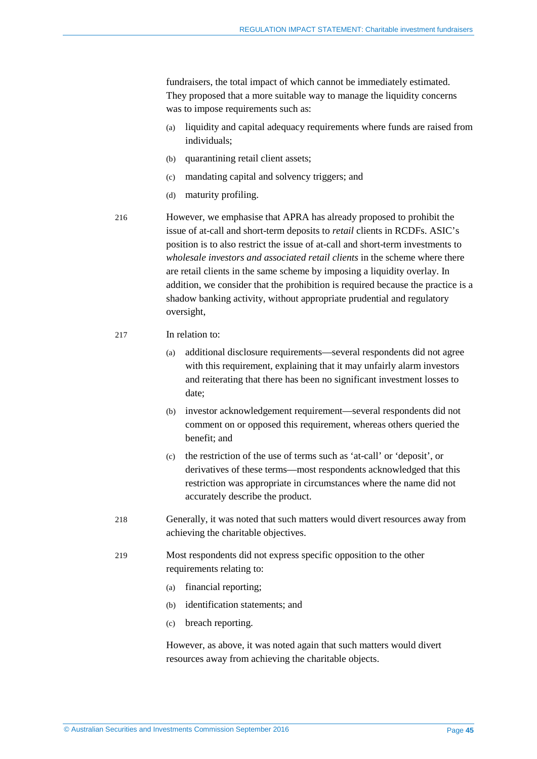fundraisers, the total impact of which cannot be immediately estimated. They proposed that a more suitable way to manage the liquidity concerns was to impose requirements such as:

- (a) liquidity and capital adequacy requirements where funds are raised from individuals;
- (b) quarantining retail client assets;
- (c) mandating capital and solvency triggers; and
- (d) maturity profiling.

216 However, we emphasise that APRA has already proposed to prohibit the issue of at-call and short-term deposits to *retail* clients in RCDFs. ASIC's position is to also restrict the issue of at-call and short-term investments to *wholesale investors and associated retail clients* in the scheme where there are retail clients in the same scheme by imposing a liquidity overlay. In addition, we consider that the prohibition is required because the practice is a shadow banking activity, without appropriate prudential and regulatory oversight,

- 217 In relation to:
	- (a) additional disclosure requirements—several respondents did not agree with this requirement, explaining that it may unfairly alarm investors and reiterating that there has been no significant investment losses to date;
	- (b) investor acknowledgement requirement—several respondents did not comment on or opposed this requirement, whereas others queried the benefit; and
	- (c) the restriction of the use of terms such as 'at-call' or 'deposit', or derivatives of these terms—most respondents acknowledged that this restriction was appropriate in circumstances where the name did not accurately describe the product.
- <span id="page-44-0"></span>218 Generally, it was noted that such matters would divert resources away from achieving the charitable objectives.
- 219 Most respondents did not express specific opposition to the other requirements relating to:
	- (a) financial reporting;
	- (b) identification statements; and
	- (c) breach reporting.

However, as above, it was noted again that such matters would divert resources away from achieving the charitable objects.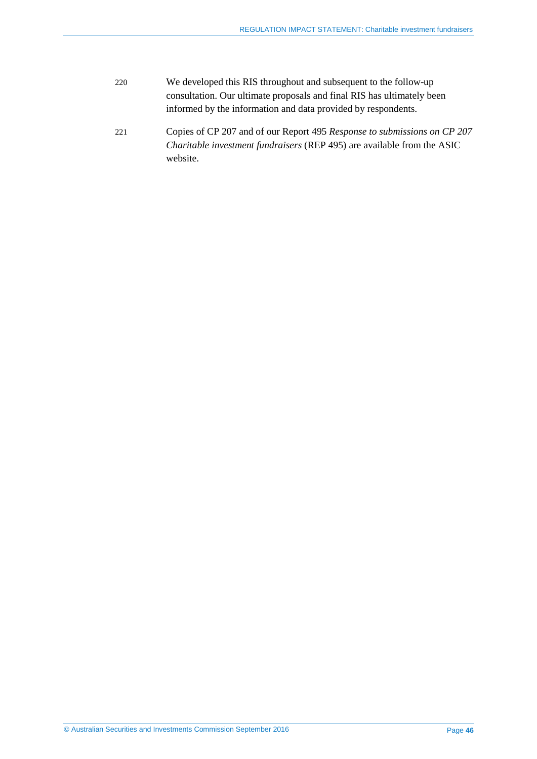- 220 We developed this RIS throughout and subsequent to the follow-up consultation. Our ultimate proposals and final RIS has ultimately been informed by the information and data provided by respondents.
- 221 Copies of CP 207 and of our Report 495 *Response to submissions on CP 207 Charitable investment fundraisers* (REP 495) are available from the ASIC website.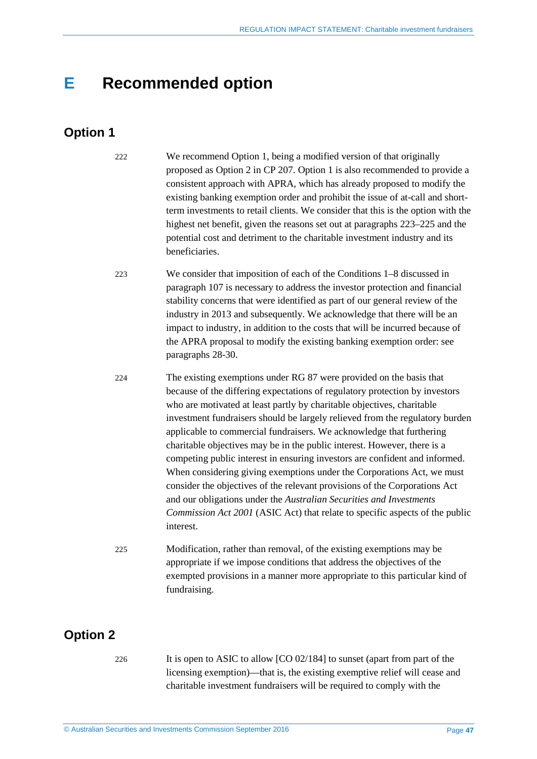## <span id="page-46-0"></span>**E Recommended option**

## <span id="page-46-1"></span>**Option 1**

222 We recommend Option 1, being a modified version of that originally proposed as Option 2 in CP 207. Option 1 is also recommended to provide a consistent approach with APRA, which has already proposed to modify the existing banking exemption order and prohibit the issue of at-call and shortterm investments to retail clients. We consider that this is the option with the highest net benefit, given the reasons set out at paragraphs [223](#page-46-3)[–225](#page-46-4) and the potential cost and detriment to the charitable investment industry and its beneficiaries.

- <span id="page-46-3"></span>223 We consider that imposition of each of the Conditions 1–8 discussed in paragraph [107](#page-23-1) is necessary to address the investor protection and financial stability concerns that were identified as part of our general review of the industry in 2013 and subsequently. We acknowledge that there will be an impact to industry, in addition to the costs that will be incurred because of the APRA proposal to modify the existing banking exemption order: see paragraphs [28-](#page-8-0)[30.](#page-8-1)
- 224 The existing exemptions under RG 87 were provided on the basis that because of the differing expectations of regulatory protection by investors who are motivated at least partly by charitable objectives, charitable investment fundraisers should be largely relieved from the regulatory burden applicable to commercial fundraisers. We acknowledge that furthering charitable objectives may be in the public interest. However, there is a competing public interest in ensuring investors are confident and informed. When considering giving exemptions under the Corporations Act, we must consider the objectives of the relevant provisions of the Corporations Act and our obligations under the *Australian Securities and Investments Commission Act 2001* (ASIC Act) that relate to specific aspects of the public interest.
- <span id="page-46-4"></span>225 Modification, rather than removal, of the existing exemptions may be appropriate if we impose conditions that address the objectives of the exempted provisions in a manner more appropriate to this particular kind of fundraising.

## <span id="page-46-2"></span>**Option 2**

226 It is open to ASIC to allow [CO 02/184] to sunset (apart from part of the licensing exemption)—that is, the existing exemptive relief will cease and charitable investment fundraisers will be required to comply with the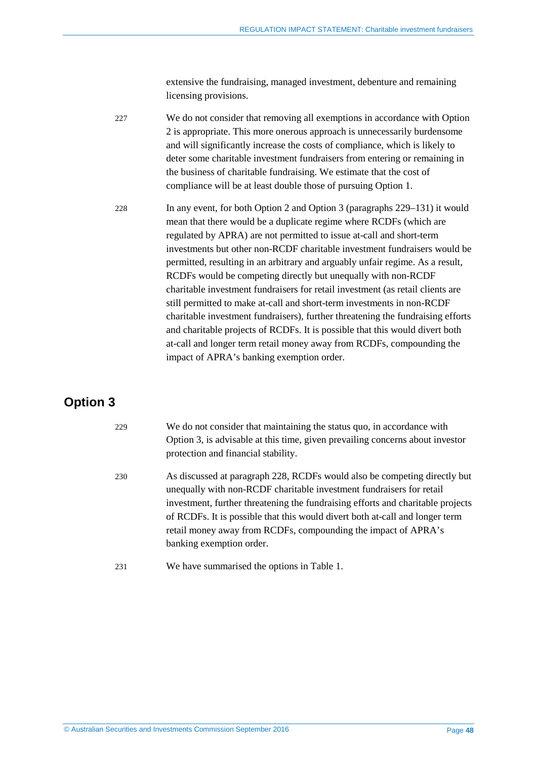extensive the fundraising, managed investment, debenture and remaining licensing provisions.

| 227 | We do not consider that removing all exemptions in accordance with Option   |
|-----|-----------------------------------------------------------------------------|
|     | 2 is appropriate. This more onerous approach is unnecessarily burdensome    |
|     | and will significantly increase the costs of compliance, which is likely to |
|     | deter some charitable investment fundraisers from entering or remaining in  |
|     | the business of charitable fundraising. We estimate that the cost of        |
|     | compliance will be at least double those of pursuing Option 1.              |

<span id="page-47-2"></span>228 In any event, for both Option 2 and Option 3 (paragraphs [229](#page-47-1)[–131\)](#page-29-0) it would mean that there would be a duplicate regime where RCDFs (which are regulated by APRA) are not permitted to issue at-call and short-term investments but other non-RCDF charitable investment fundraisers would be permitted, resulting in an arbitrary and arguably unfair regime. As a result, RCDFs would be competing directly but unequally with non-RCDF charitable investment fundraisers for retail investment (as retail clients are still permitted to make at-call and short-term investments in non-RCDF charitable investment fundraisers), further threatening the fundraising efforts and charitable projects of RCDFs. It is possible that this would divert both at-call and longer term retail money away from RCDFs, compounding the impact of APRA's banking exemption order.

## <span id="page-47-1"></span><span id="page-47-0"></span>**Option 3**

| 229 | We do not consider that maintaining the status quo, in accordance with<br>Option 3, is advisable at this time, given prevailing concerns about investor<br>protection and financial stability.                                                                                                                                                                                                                     |
|-----|--------------------------------------------------------------------------------------------------------------------------------------------------------------------------------------------------------------------------------------------------------------------------------------------------------------------------------------------------------------------------------------------------------------------|
| 230 | As discussed at paragraph 228, RCDFs would also be competing directly but<br>unequally with non-RCDF charitable investment fundraisers for retail<br>investment, further threatening the fundraising efforts and charitable projects<br>of RCDFs. It is possible that this would divert both at-call and longer term<br>retail money away from RCDFs, compounding the impact of APRA's<br>banking exemption order. |
| 231 | We have summarised the options in Table 1.                                                                                                                                                                                                                                                                                                                                                                         |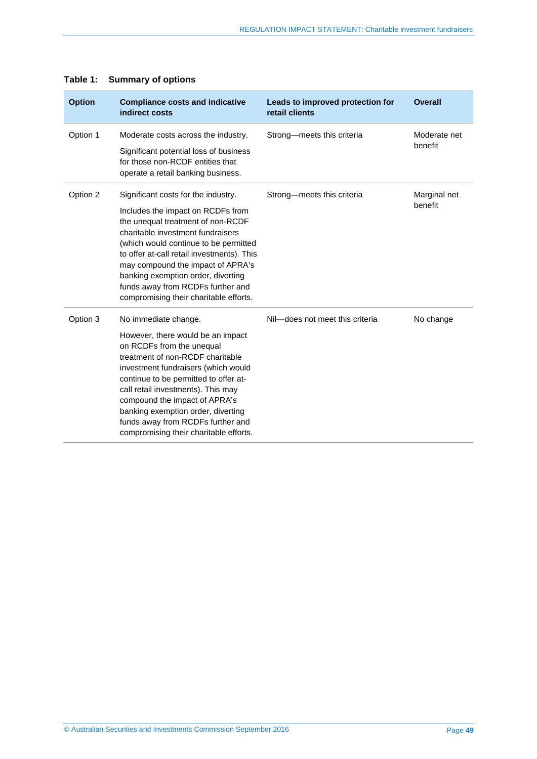| <b>Option</b> | <b>Compliance costs and indicative</b><br>indirect costs                                                                                                                                                                                                                                                                                                                                               | Leads to improved protection for<br>retail clients | <b>Overall</b>          |
|---------------|--------------------------------------------------------------------------------------------------------------------------------------------------------------------------------------------------------------------------------------------------------------------------------------------------------------------------------------------------------------------------------------------------------|----------------------------------------------------|-------------------------|
| Option 1      | Moderate costs across the industry.<br>Significant potential loss of business<br>for those non-RCDF entities that<br>operate a retail banking business.                                                                                                                                                                                                                                                | Strong-meets this criteria                         | Moderate net<br>benefit |
| Option 2      | Significant costs for the industry.<br>Includes the impact on RCDFs from<br>the unequal treatment of non-RCDF<br>charitable investment fundraisers<br>(which would continue to be permitted<br>to offer at-call retail investments). This<br>may compound the impact of APRA's<br>banking exemption order, diverting<br>funds away from RCDFs further and<br>compromising their charitable efforts.    | Strong-meets this criteria                         | Marginal net<br>benefit |
| Option 3      | No immediate change.<br>However, there would be an impact<br>on RCDFs from the unequal<br>treatment of non-RCDF charitable<br>investment fundraisers (which would<br>continue to be permitted to offer at-<br>call retail investments). This may<br>compound the impact of APRA's<br>banking exemption order, diverting<br>funds away from RCDFs further and<br>compromising their charitable efforts. | Nil-does not meet this criteria                    | No change               |

### <span id="page-48-0"></span>**Table 1: Summary of options**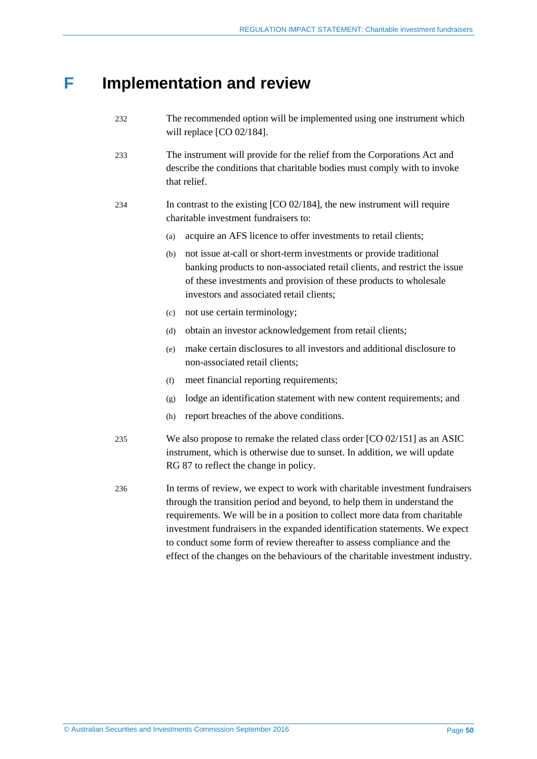## <span id="page-49-0"></span>**F Implementation and review**

- 232 The recommended option will be implemented using one instrument which will replace [CO 02/184].
- 233 The instrument will provide for the relief from the Corporations Act and describe the conditions that charitable bodies must comply with to invoke that relief.
- 234 In contrast to the existing [CO 02/184], the new instrument will require charitable investment fundraisers to:
	- (a) acquire an AFS licence to offer investments to retail clients;
	- (b) not issue at-call or short-term investments or provide traditional banking products to non-associated retail clients, and restrict the issue of these investments and provision of these products to wholesale investors and associated retail clients;
	- (c) not use certain terminology;
	- (d) obtain an investor acknowledgement from retail clients;
	- (e) make certain disclosures to all investors and additional disclosure to non-associated retail clients;
	- (f) meet financial reporting requirements;
	- (g) lodge an identification statement with new content requirements; and
	- (h) report breaches of the above conditions.
- 235 We also propose to remake the related class order [CO 02/151] as an ASIC instrument, which is otherwise due to sunset. In addition, we will update RG 87 to reflect the change in policy.
- 236 In terms of review, we expect to work with charitable investment fundraisers through the transition period and beyond, to help them in understand the requirements. We will be in a position to collect more data from charitable investment fundraisers in the expanded identification statements. We expect to conduct some form of review thereafter to assess compliance and the effect of the changes on the behaviours of the charitable investment industry.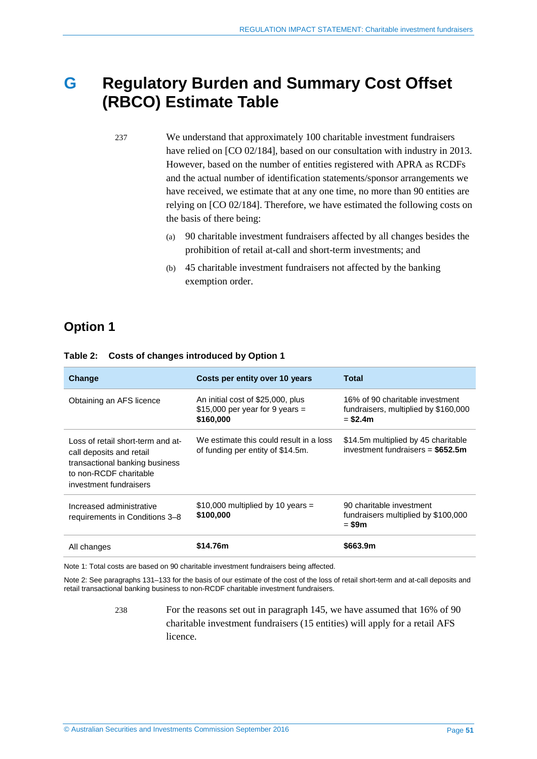## <span id="page-50-0"></span>**G Regulatory Burden and Summary Cost Offset (RBCO) Estimate Table**

237 We understand that approximately 100 charitable investment fundraisers have relied on [CO 02/184], based on our consultation with industry in 2013. However, based on the number of entities registered with APRA as RCDFs and the actual number of identification statements/sponsor arrangements we have received, we estimate that at any one time, no more than 90 entities are relying on [CO 02/184]. Therefore, we have estimated the following costs on the basis of there being:

- (a) 90 charitable investment fundraisers affected by all changes besides the prohibition of retail at-call and short-term investments; and
- (b) 45 charitable investment fundraisers not affected by the banking exemption order.

## <span id="page-50-1"></span>**Option 1**

| Change                                                                                                                                              | Costs per entity over 10 years                                                     | Total                                                                                |
|-----------------------------------------------------------------------------------------------------------------------------------------------------|------------------------------------------------------------------------------------|--------------------------------------------------------------------------------------|
| Obtaining an AFS licence                                                                                                                            | An initial cost of \$25,000, plus<br>$$15,000$ per year for 9 years =<br>\$160,000 | 16% of 90 charitable investment<br>fundraisers, multiplied by \$160,000<br>$= $2.4m$ |
| Loss of retail short-term and at-<br>call deposits and retail<br>transactional banking business<br>to non-RCDF charitable<br>investment fundraisers | We estimate this could result in a loss<br>of funding per entity of \$14.5m.       | \$14.5m multiplied by 45 charitable<br>investment fundraisers = $$652.5m$            |
| Increased administrative<br>requirements in Conditions 3-8                                                                                          | \$10,000 multiplied by 10 years =<br>\$100,000                                     | 90 charitable investment<br>fundraisers multiplied by \$100,000<br>= \$9m            |
| All changes                                                                                                                                         | \$14.76m                                                                           | \$663.9m                                                                             |

#### **Table 2: Costs of changes introduced by Option 1**

Note 1: Total costs are based on 90 charitable investment fundraisers being affected.

Note 2: See paragraphs [131–](#page-29-0)[133](#page-29-3) for the basis of our estimate of the cost of the loss of retail short-term and at-call deposits and retail transactional banking business to non-RCDF charitable investment fundraisers.

> 238 For the reasons set out in paragraph [145,](#page-31-0) we have assumed that 16% of 90 charitable investment fundraisers (15 entities) will apply for a retail AFS licence.